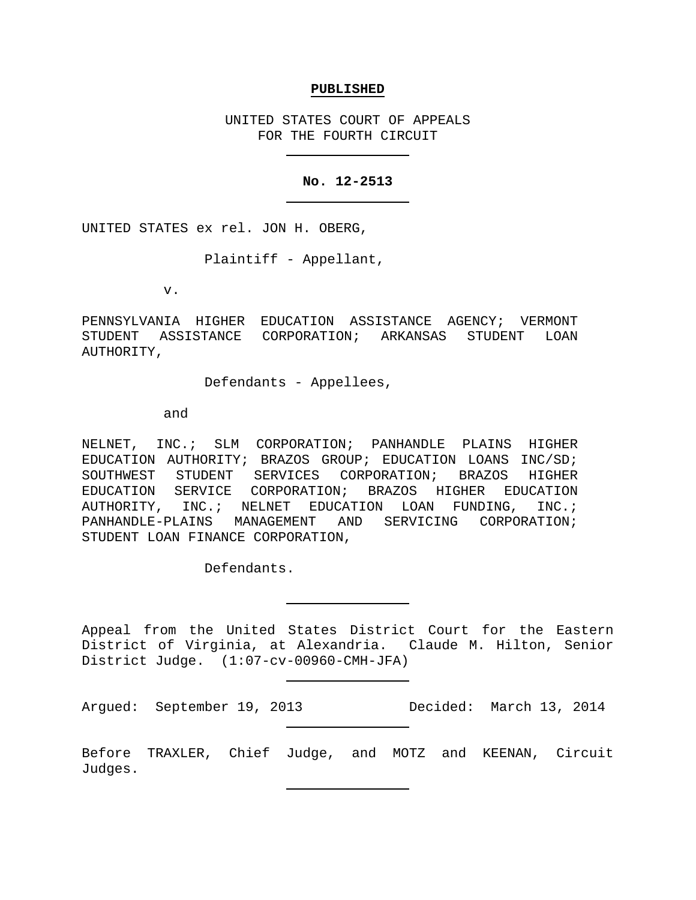### **PUBLISHED**

UNITED STATES COURT OF APPEALS FOR THE FOURTH CIRCUIT

### **No. 12-2513**

UNITED STATES ex rel. JON H. OBERG,

Plaintiff - Appellant,

v.

PENNSYLVANIA HIGHER EDUCATION ASSISTANCE AGENCY; VERMONT STUDENT ASSISTANCE CORPORATION; ARKANSAS STUDENT LOAN AUTHORITY,

### Defendants - Appellees,

and

NELNET, INC.; SLM CORPORATION; PANHANDLE PLAINS HIGHER EDUCATION AUTHORITY; BRAZOS GROUP; EDUCATION LOANS INC/SD; SOUTHWEST STUDENT SERVICES CORPORATION; BRAZOS HIGHER EDUCATION SERVICE CORPORATION; BRAZOS HIGHER EDUCATION AUTHORITY, INC.; NELNET EDUCATION LOAN FUNDING, INC.; PANHANDLE-PLAINS MANAGEMENT AND SERVICING CORPORATION; STUDENT LOAN FINANCE CORPORATION,

Defendants.

Appeal from the United States District Court for the Eastern District of Virginia, at Alexandria. Claude M. Hilton, Senior District Judge. (1:07-cv-00960-CMH-JFA)

Argued: September 19, 2013 Decided: March 13, 2014

Before TRAXLER, Chief Judge, and MOTZ and KEENAN, Circuit Judges.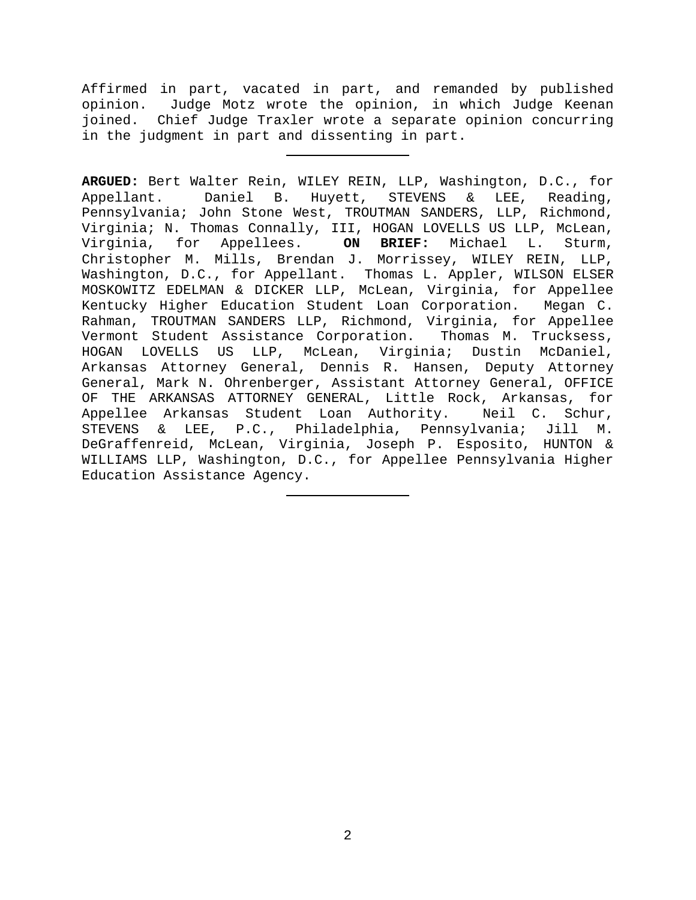Affirmed in part, vacated in part, and remanded by published opinion. Judge Motz wrote the opinion, in which Judge Keenan joined. Chief Judge Traxler wrote a separate opinion concurring in the judgment in part and dissenting in part.

**ARGUED:** Bert Walter Rein, WILEY REIN, LLP, Washington, D.C., for Appellant. Daniel B. Huyett, STEVENS & LEE, Reading, Pennsylvania; John Stone West, TROUTMAN SANDERS, LLP, Richmond, Virginia; N. Thomas Connally, III, HOGAN LOVELLS US LLP, McLean,<br>Virginia, for Appellees. ON BRIEF: Michael L. Sturm, Virginia, for Appellees. **ON BRIEF:** Michael L. Sturm, Christopher M. Mills, Brendan J. Morrissey, WILEY REIN, LLP, Washington, D.C., for Appellant. Thomas L. Appler, WILSON ELSER MOSKOWITZ EDELMAN & DICKER LLP, McLean, Virginia, for Appellee Kentucky Higher Education Student Loan Corporation. Megan C. Rahman, TROUTMAN SANDERS LLP, Richmond, Virginia, for Appellee<br>Vermont Student Assistance Corporation. Thomas M. Trucksess, Vermont Student Assistance Corporation. HOGAN LOVELLS US LLP, McLean, Virginia; Dustin McDaniel, Arkansas Attorney General, Dennis R. Hansen, Deputy Attorney General, Mark N. Ohrenberger, Assistant Attorney General, OFFICE OF THE ARKANSAS ATTORNEY GENERAL, Little Rock, Arkansas, for<br>Appellee Arkansas Student Loan Authority. Meil C. Schur, Appellee Arkansas Student Loan Authority. STEVENS & LEE, P.C., Philadelphia, Pennsylvania; Jill M. DeGraffenreid, McLean, Virginia, Joseph P. Esposito, HUNTON & WILLIAMS LLP, Washington, D.C., for Appellee Pennsylvania Higher Education Assistance Agency.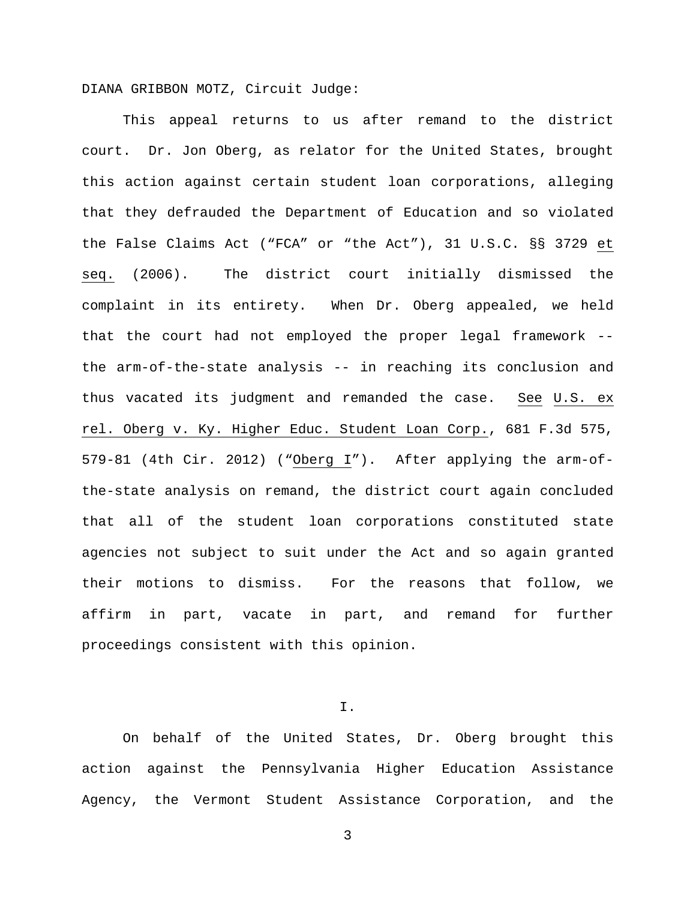DIANA GRIBBON MOTZ, Circuit Judge:

This appeal returns to us after remand to the district court. Dr. Jon Oberg, as relator for the United States, brought this action against certain student loan corporations, alleging that they defrauded the Department of Education and so violated the False Claims Act ("FCA" or "the Act"), 31 U.S.C. §§ 3729 et seq. (2006). The district court initially dismissed the complaint in its entirety. When Dr. Oberg appealed, we held that the court had not employed the proper legal framework - the arm-of-the-state analysis -- in reaching its conclusion and thus vacated its judgment and remanded the case. See U.S. ex rel. Oberg v. Ky. Higher Educ. Student Loan Corp., 681 F.3d 575, 579-81 (4th Cir. 2012) ("Oberg I"). After applying the arm-ofthe-state analysis on remand, the district court again concluded that all of the student loan corporations constituted state agencies not subject to suit under the Act and so again granted their motions to dismiss. For the reasons that follow, we affirm in part, vacate in part, and remand for further proceedings consistent with this opinion.

I.

On behalf of the United States, Dr. Oberg brought this action against the Pennsylvania Higher Education Assistance Agency, the Vermont Student Assistance Corporation, and the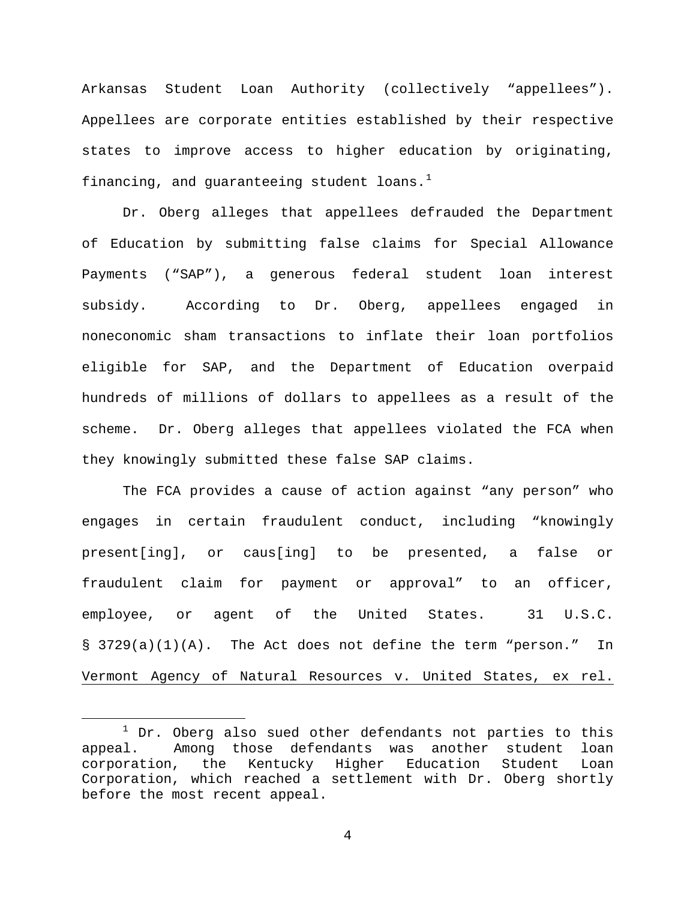Arkansas Student Loan Authority (collectively "appellees"). Appellees are corporate entities established by their respective states to improve access to higher education by originating, financing, and guaranteeing student loans. $<sup>1</sup>$  $<sup>1</sup>$  $<sup>1</sup>$ </sup>

Dr. Oberg alleges that appellees defrauded the Department of Education by submitting false claims for Special Allowance Payments ("SAP"), a generous federal student loan interest subsidy. According to Dr. Oberg, appellees engaged in noneconomic sham transactions to inflate their loan portfolios eligible for SAP, and the Department of Education overpaid hundreds of millions of dollars to appellees as a result of the scheme. Dr. Oberg alleges that appellees violated the FCA when they knowingly submitted these false SAP claims.

The FCA provides a cause of action against "any person" who engages in certain fraudulent conduct, including "knowingly present[ing], or caus[ing] to be presented, a false or fraudulent claim for payment or approval" to an officer, employee, or agent of the United States. 31 U.S.C. § 3729(a)(1)(A). The Act does not define the term "person." In Vermont Agency of Natural Resources v. United States, ex rel.

<span id="page-3-0"></span> $1$  Dr. Oberg also sued other defendants not parties to this appeal. Among those defendants was another student loan Among those defendants was another student loan corporation, the Kentucky Higher Education Student Loan Corporation, which reached a settlement with Dr. Oberg shortly before the most recent appeal.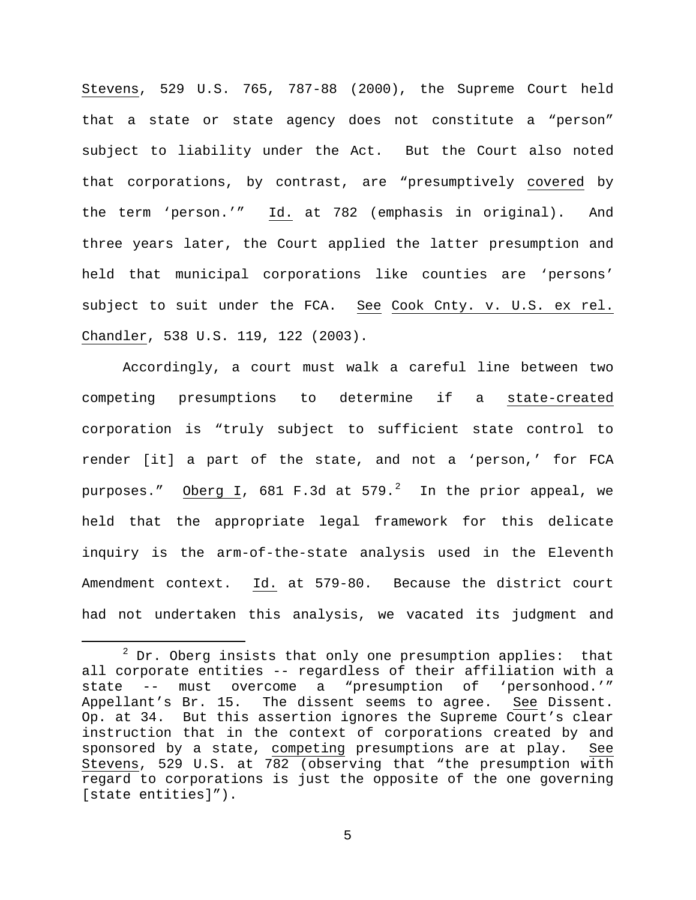Stevens, 529 U.S. 765, 787-88 (2000), the Supreme Court held that a state or state agency does not constitute a "person" subject to liability under the Act. But the Court also noted that corporations, by contrast, are "presumptively covered by the term 'person.'" Id. at 782 (emphasis in original). And three years later, the Court applied the latter presumption and held that municipal corporations like counties are 'persons' subject to suit under the FCA. See Cook Cnty. v. U.S. ex rel. Chandler, 538 U.S. 119, 122 (2003).

Accordingly, a court must walk a careful line between two competing presumptions to determine if a state-created corporation is "truly subject to sufficient state control to render [it] a part of the state, and not a 'person,' for FCA purposes."  $\hbox{\rm Oberg I}$ , 681 F.3d at 579. $^2$  $^2$  In the prior appeal, we held that the appropriate legal framework for this delicate inquiry is the arm-of-the-state analysis used in the Eleventh Amendment context. Id. at 579-80. Because the district court had not undertaken this analysis, we vacated its judgment and

<span id="page-4-0"></span> $2^2$  Dr. Oberg insists that only one presumption applies: that all corporate entities -- regardless of their affiliation with a state -- must overcome a "presumption of 'personhood.'"<br>Appellant's Br. 15. The dissent seems to agree. See Dissent. The dissent seems to agree. See Dissent. Op. at 34. But this assertion ignores the Supreme Court's clear instruction that in the context of corporations created by and sponsored by a state, competing presumptions are at play. See Stevens, 529 U.S. at 782 (observing that "the presumption with regard to corporations is just the opposite of the one governing [state entities]").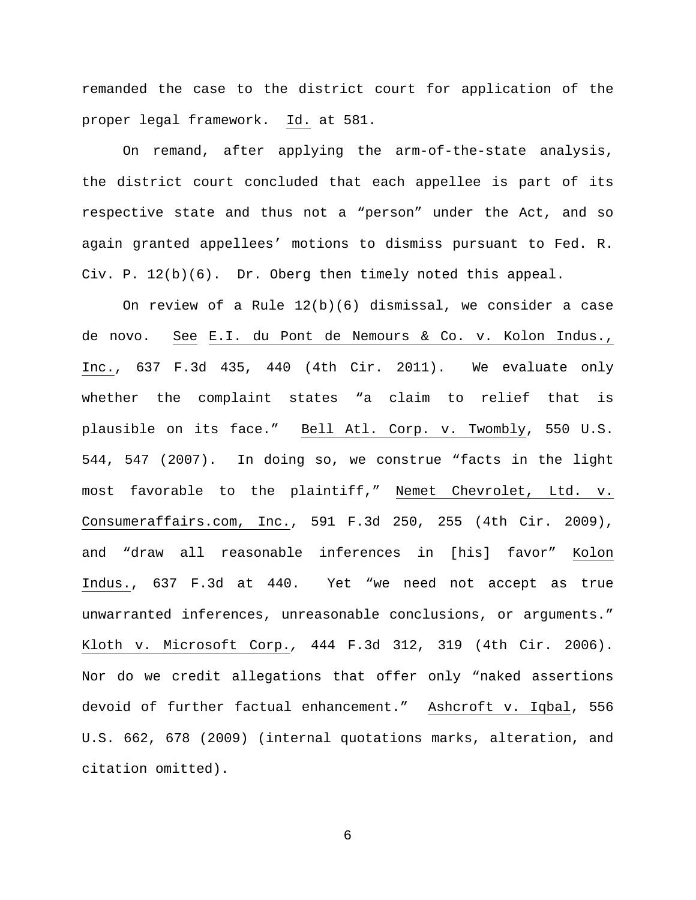remanded the case to the district court for application of the proper legal framework. Id. at 581.

On remand, after applying the arm-of-the-state analysis, the district court concluded that each appellee is part of its respective state and thus not a "person" under the Act, and so again granted appellees' motions to dismiss pursuant to Fed. R. Civ. P. 12(b)(6). Dr. Oberg then timely noted this appeal.

On review of a Rule 12(b)(6) dismissal, we consider a case de novo. See E.I. du Pont de Nemours & Co. v. Kolon Indus., Inc., 637 F.3d 435, 440 (4th Cir. 2011). We evaluate only whether the complaint states "a claim to relief that is plausible on its face." Bell Atl. Corp. v. Twombly, 550 U.S. 544, 547 (2007). In doing so, we construe "facts in the light most favorable to the plaintiff," Nemet Chevrolet, Ltd. v. Consumeraffairs.com, Inc., 591 F.3d 250, 255 (4th Cir. 2009), and "draw all reasonable inferences in [his] favor" Kolon Indus., 637 F.3d at 440. Yet "we need not accept as true unwarranted inferences, unreasonable conclusions, or arguments." Kloth v. Microsoft Corp.*,* 444 F.3d 312, 319 (4th Cir. 2006). Nor do we credit allegations that offer only "naked assertions devoid of further factual enhancement." Ashcroft v. Iqbal, 556 U.S. 662, 678 (2009) (internal quotations marks, alteration, and citation omitted).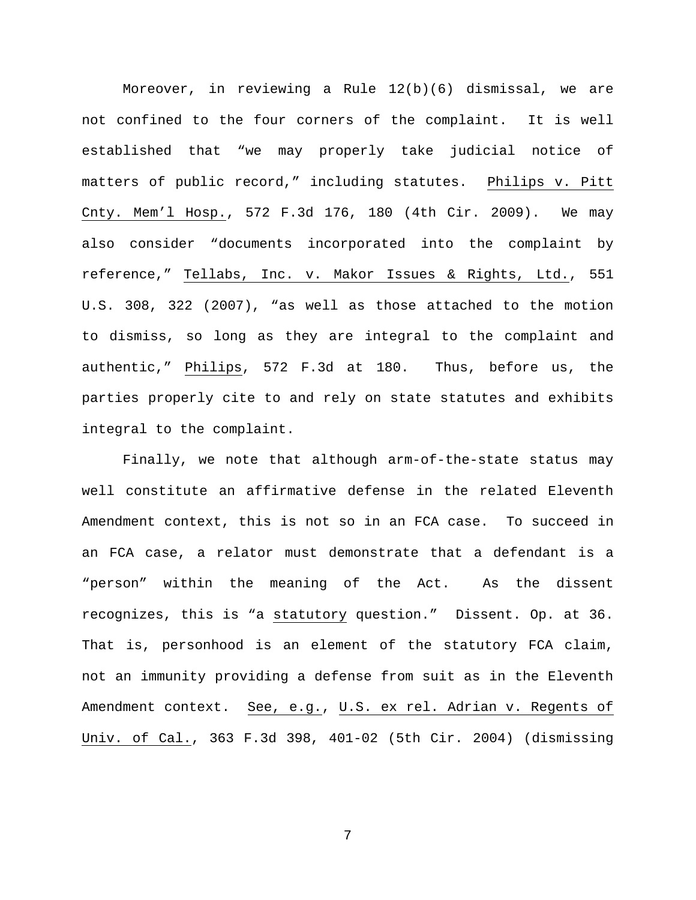Moreover, in reviewing a Rule 12(b)(6) dismissal, we are not confined to the four corners of the complaint. It is well established that "we may properly take judicial notice of matters of public record," including statutes. Philips v. Pitt Cnty. Mem'l Hosp., 572 F.3d 176, 180 (4th Cir. 2009). We may also consider "documents incorporated into the complaint by reference," Tellabs, Inc. v. Makor Issues & Rights, Ltd., 551 U.S. 308, 322 (2007), "as well as those attached to the motion to dismiss, so long as they are integral to the complaint and authentic," Philips, 572 F.3d at 180. Thus, before us, the parties properly cite to and rely on state statutes and exhibits integral to the complaint.

Finally, we note that although arm-of-the-state status may well constitute an affirmative defense in the related Eleventh Amendment context, this is not so in an FCA case. To succeed in an FCA case, a relator must demonstrate that a defendant is a "person" within the meaning of the Act. As the dissent recognizes, this is "a statutory question." Dissent. Op. at 36. That is, personhood is an element of the statutory FCA claim, not an immunity providing a defense from suit as in the Eleventh Amendment context. See, e.g., U.S. ex rel. Adrian v. Regents of Univ. of Cal., 363 F.3d 398, 401-02 (5th Cir. 2004) (dismissing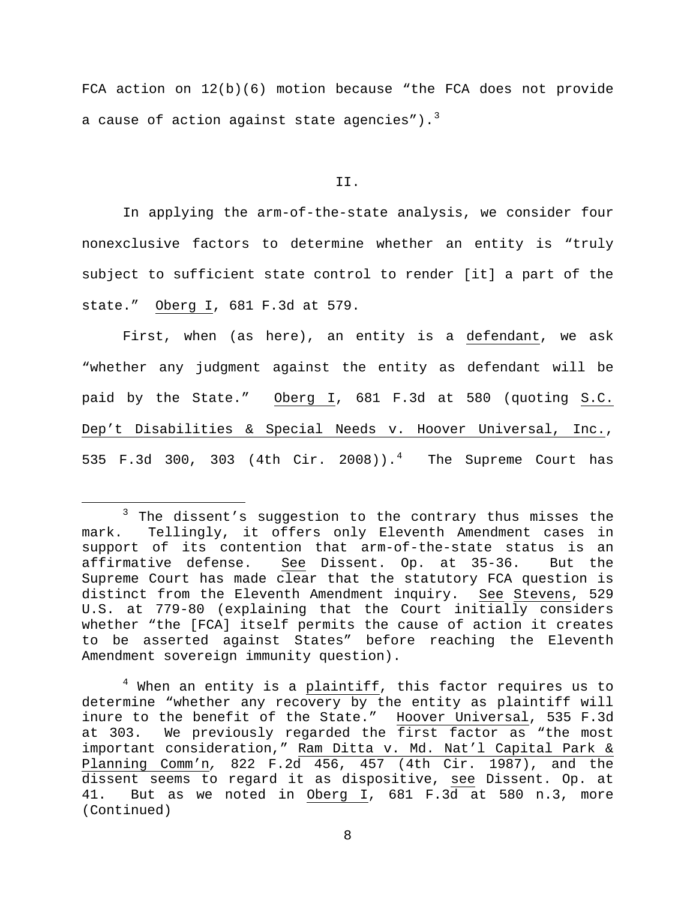FCA action on 12(b)(6) motion because "the FCA does not provide a cause of action against state agencies").<sup>[3](#page-7-0)</sup>

#### II.

In applying the arm-of-the-state analysis, we consider four nonexclusive factors to determine whether an entity is "truly subject to sufficient state control to render [it] a part of the state." Oberg I, 681 F.3d at 579.

First, when (as here), an entity is a defendant, we ask "whether any judgment against the entity as defendant will be paid by the State." Oberg I, 681 F.3d at 580 (quoting S.C. Dep't Disabilities & Special Needs v. Hoover Universal, Inc., 535 F.3d 300, 303 ([4](#page-7-1)th  $Cir. 2008)$ ).<sup>4</sup> The Supreme Court has

<span id="page-7-0"></span><sup>&</sup>lt;sup>3</sup> The dissent's suggestion to the contrary thus misses the mark. Tellingly, it offers only Eleventh Amendment cases in support of its contention that arm-of-the-state status is an affirmative defense. See Dissent. Op. at 35-36. But the Supreme Court has made clear that the statutory FCA question is distinct from the Eleventh Amendment inquiry. See Stevens, 529 U.S. at 779-80 (explaining that the Court initially considers whether "the [FCA] itself permits the cause of action it creates to be asserted against States" before reaching the Eleventh Amendment sovereign immunity question).

<span id="page-7-1"></span> $4$  When an entity is a plaintiff, this factor requires us to determine "whether any recovery by the entity as plaintiff will inure to the benefit of the State." Hoover Universal, 535 F.3d at 303. We previously regarded the first factor as "the most important consideration," Ram Ditta v. Md. Nat'l Capital Park & Planning Comm'n*,* 822 F.2d 456, 457 (4th Cir. 1987), and the dissent seems to regard it as dispositive, see Dissent. Op. at 41. But as we noted in Oberg I, 681 F.3d at 580 n.3, more (Continued)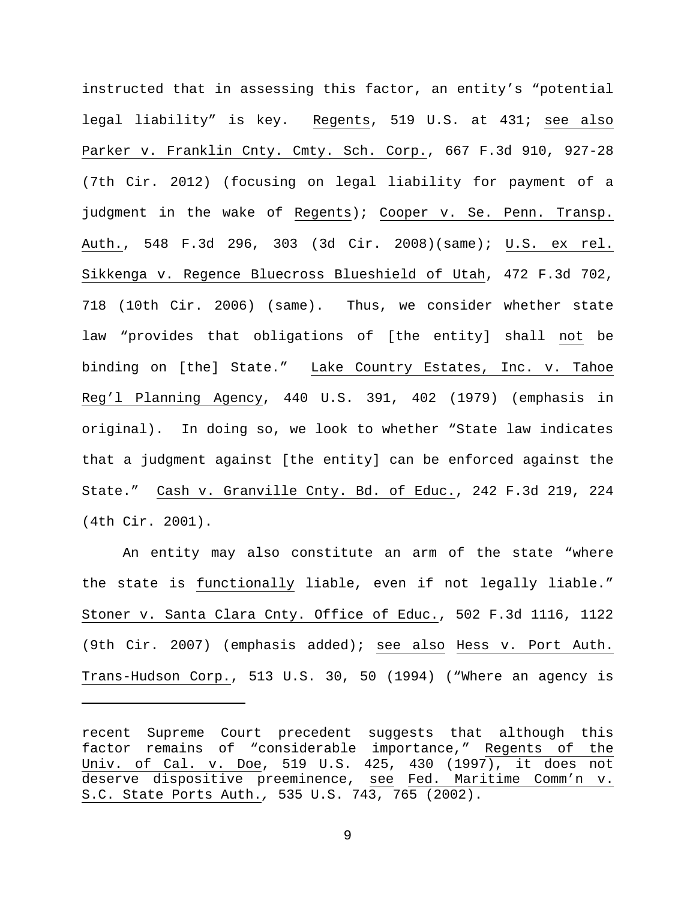instructed that in assessing this factor, an entity's "potential legal liability" is key. Regents, 519 U.S. at 431; see also Parker v. Franklin Cnty. Cmty. Sch. Corp., 667 F.3d 910, 927-28 (7th Cir. 2012) (focusing on legal liability for payment of a judgment in the wake of Regents); Cooper v. Se. Penn. Transp. Auth., 548 F.3d 296, 303 (3d Cir. 2008)(same); U.S. ex rel. Sikkenga v. Regence Bluecross Blueshield of Utah, 472 F.3d 702, 718 (10th Cir. 2006) (same). Thus, we consider whether state law "provides that obligations of [the entity] shall not be binding on [the] State." Lake Country Estates, Inc. v. Tahoe Reg'l Planning Agency, 440 U.S. 391, 402 (1979) (emphasis in original). In doing so, we look to whether "State law indicates that a judgment against [the entity] can be enforced against the State." Cash v. Granville Cnty. Bd. of Educ., 242 F.3d 219, 224 (4th Cir. 2001).

An entity may also constitute an arm of the state "where the state is functionally liable, even if not legally liable." Stoner v. Santa Clara Cnty. Office of Educ., 502 F.3d 1116, 1122 (9th Cir. 2007) (emphasis added); see also Hess v. Port Auth. Trans-Hudson Corp., 513 U.S. 30, 50 (1994) ("Where an agency is

Ĩ.

recent Supreme Court precedent suggests that although this factor remains of "considerable importance," Regents of the Univ. of Cal. v. Doe, 519 U.S. 425, 430 (1997), it does not deserve dispositive preeminence, see Fed. Maritime Comm'n v. S.C. State Ports Auth.*,* 535 U.S. 743, 765 (2002).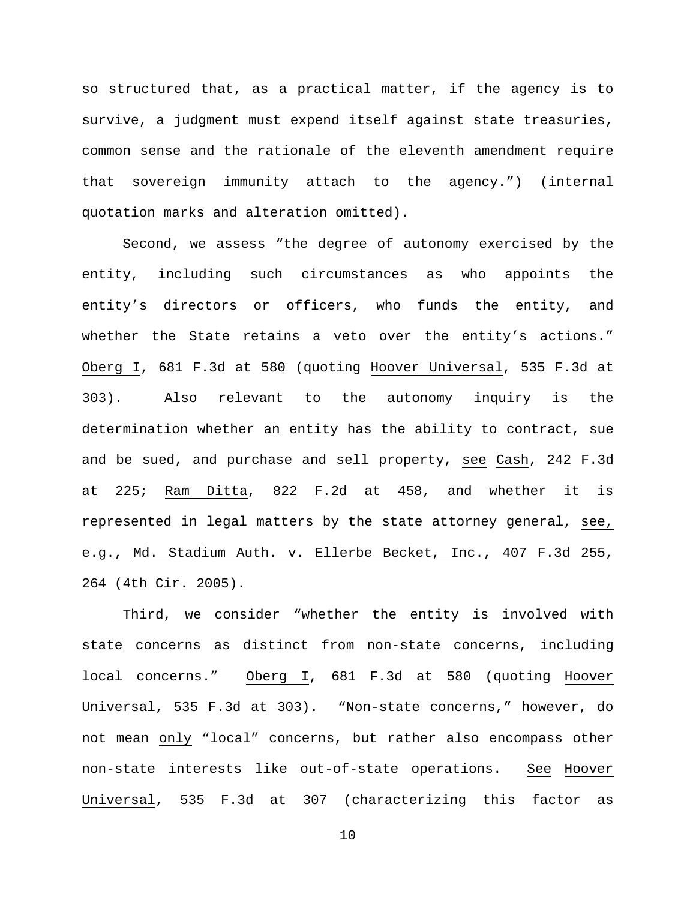so structured that, as a practical matter, if the agency is to survive, a judgment must expend itself against state treasuries, common sense and the rationale of the eleventh amendment require that sovereign immunity attach to the agency.") (internal quotation marks and alteration omitted).

Second, we assess "the degree of autonomy exercised by the entity, including such circumstances as who appoints the entity's directors or officers, who funds the entity, and whether the State retains a veto over the entity's actions." Oberg I, 681 F.3d at 580 (quoting Hoover Universal, 535 F.3d at 303). Also relevant to the autonomy inquiry is the determination whether an entity has the ability to contract, sue and be sued, and purchase and sell property, see Cash, 242 F.3d at 225; Ram Ditta, 822 F.2d at 458, and whether it is represented in legal matters by the state attorney general, see, e.g., Md. Stadium Auth. v. Ellerbe Becket, Inc., 407 F.3d 255, 264 (4th Cir. 2005).

Third, we consider "whether the entity is involved with state concerns as distinct from non-state concerns, including local concerns." Oberg I, 681 F.3d at 580 (quoting Hoover Universal, 535 F.3d at 303). "Non-state concerns," however, do not mean only "local" concerns, but rather also encompass other non-state interests like out-of-state operations. See Hoover Universal, 535 F.3d at 307 (characterizing this factor as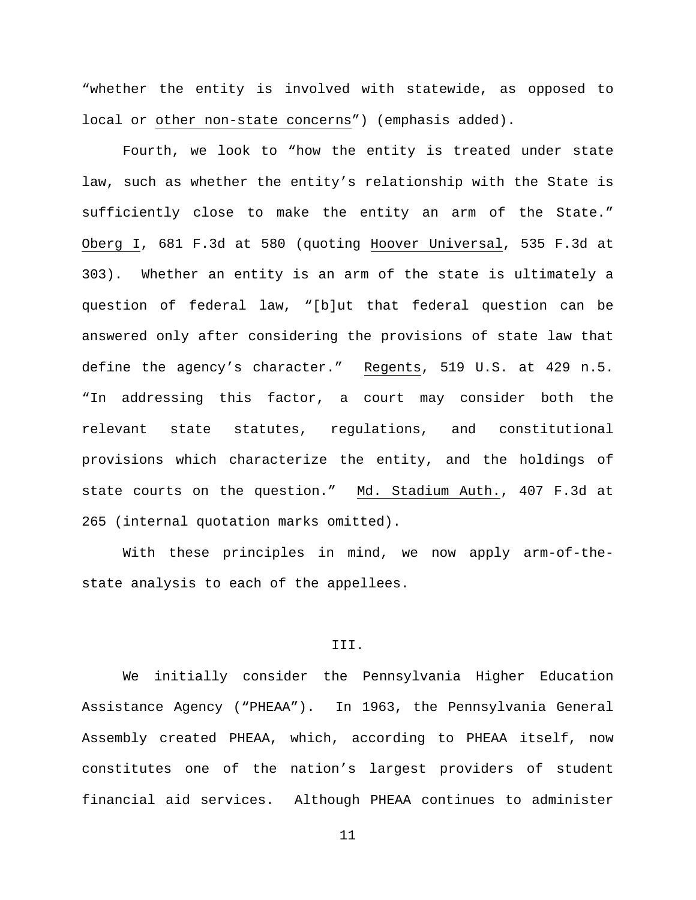"whether the entity is involved with statewide, as opposed to local or other non-state concerns") (emphasis added).

Fourth, we look to "how the entity is treated under state law, such as whether the entity's relationship with the State is sufficiently close to make the entity an arm of the State." Oberg I, 681 F.3d at 580 (quoting Hoover Universal, 535 F.3d at 303). Whether an entity is an arm of the state is ultimately a question of federal law, "[b]ut that federal question can be answered only after considering the provisions of state law that define the agency's character." Regents, 519 U.S. at 429 n.5. "In addressing this factor, a court may consider both the relevant state statutes, regulations, and constitutional provisions which characterize the entity, and the holdings of state courts on the question." Md. Stadium Auth., 407 F.3d at 265 (internal quotation marks omitted).

With these principles in mind, we now apply arm-of-thestate analysis to each of the appellees.

## III.

We initially consider the Pennsylvania Higher Education Assistance Agency ("PHEAA"). In 1963, the Pennsylvania General Assembly created PHEAA, which, according to PHEAA itself, now constitutes one of the nation's largest providers of student financial aid services. Although PHEAA continues to administer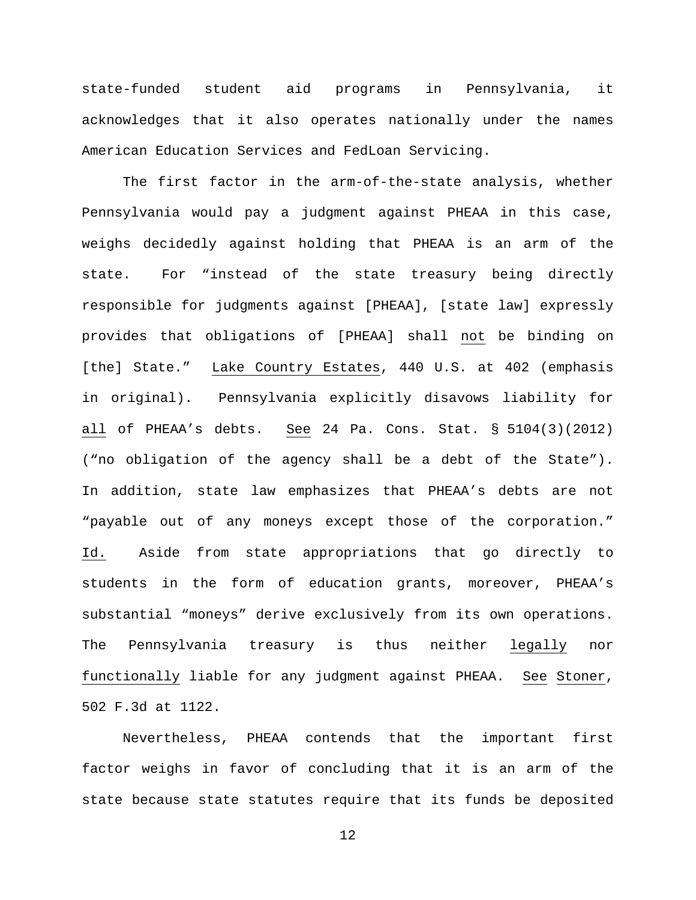state-funded student aid programs in Pennsylvania, it acknowledges that it also operates nationally under the names American Education Services and FedLoan Servicing.

The first factor in the arm-of-the-state analysis, whether Pennsylvania would pay a judgment against PHEAA in this case, weighs decidedly against holding that PHEAA is an arm of the state. For "instead of the state treasury being directly responsible for judgments against [PHEAA], [state law] expressly provides that obligations of [PHEAA] shall not be binding on [the] State." Lake Country Estates, 440 U.S. at 402 (emphasis in original). Pennsylvania explicitly disavows liability for all of PHEAA's debts. See 24 Pa. Cons. Stat. § 5104(3)(2012) ("no obligation of the agency shall be a debt of the State"). In addition, state law emphasizes that PHEAA's debts are not "payable out of any moneys except those of the corporation." Id. Aside from state appropriations that go directly to students in the form of education grants, moreover, PHEAA's substantial "moneys" derive exclusively from its own operations. The Pennsylvania treasury is thus neither legally nor functionally liable for any judgment against PHEAA. See Stoner, 502 F.3d at 1122.

Nevertheless, PHEAA contends that the important first factor weighs in favor of concluding that it is an arm of the state because state statutes require that its funds be deposited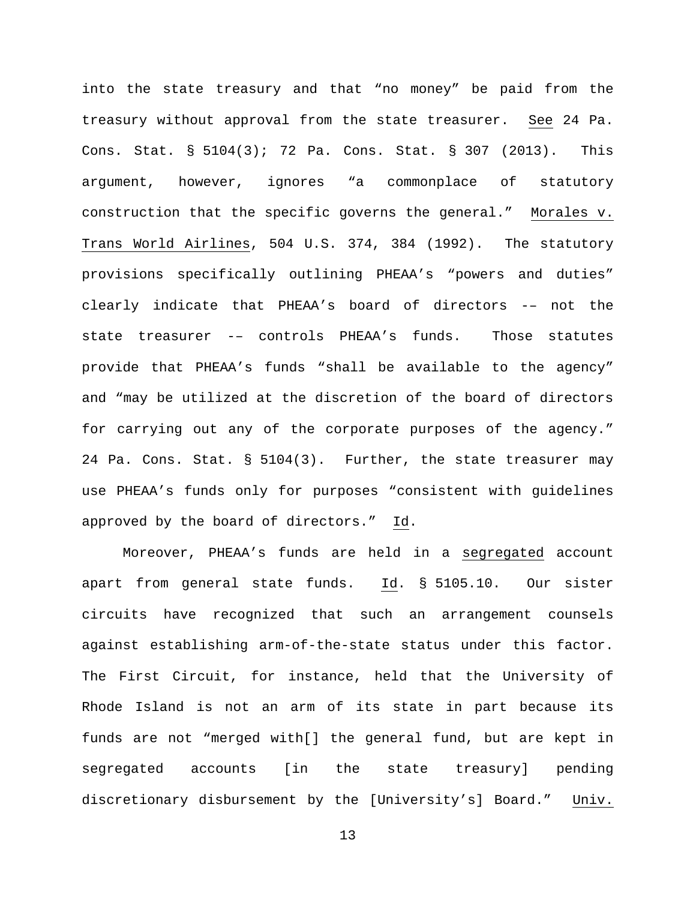into the state treasury and that "no money" be paid from the treasury without approval from the state treasurer. See 24 Pa. Cons. Stat. § 5104(3); 72 Pa. Cons. Stat. § 307 (2013). This argument, however, ignores "a commonplace of statutory construction that the specific governs the general." Morales v. Trans World Airlines, 504 U.S. 374, 384 (1992). The statutory provisions specifically outlining PHEAA's "powers and duties" clearly indicate that PHEAA's board of directors -– not the state treasurer -– controls PHEAA's funds. Those statutes provide that PHEAA's funds "shall be available to the agency" and "may be utilized at the discretion of the board of directors for carrying out any of the corporate purposes of the agency." 24 Pa. Cons. Stat. § 5104(3). Further, the state treasurer may use PHEAA's funds only for purposes "consistent with guidelines approved by the board of directors." Id.

Moreover, PHEAA's funds are held in a segregated account apart from general state funds. Id. § 5105.10. Our sister circuits have recognized that such an arrangement counsels against establishing arm-of-the-state status under this factor. The First Circuit, for instance, held that the University of Rhode Island is not an arm of its state in part because its funds are not "merged with[] the general fund, but are kept in segregated accounts [in the state treasury] pending discretionary disbursement by the [University's] Board." Univ.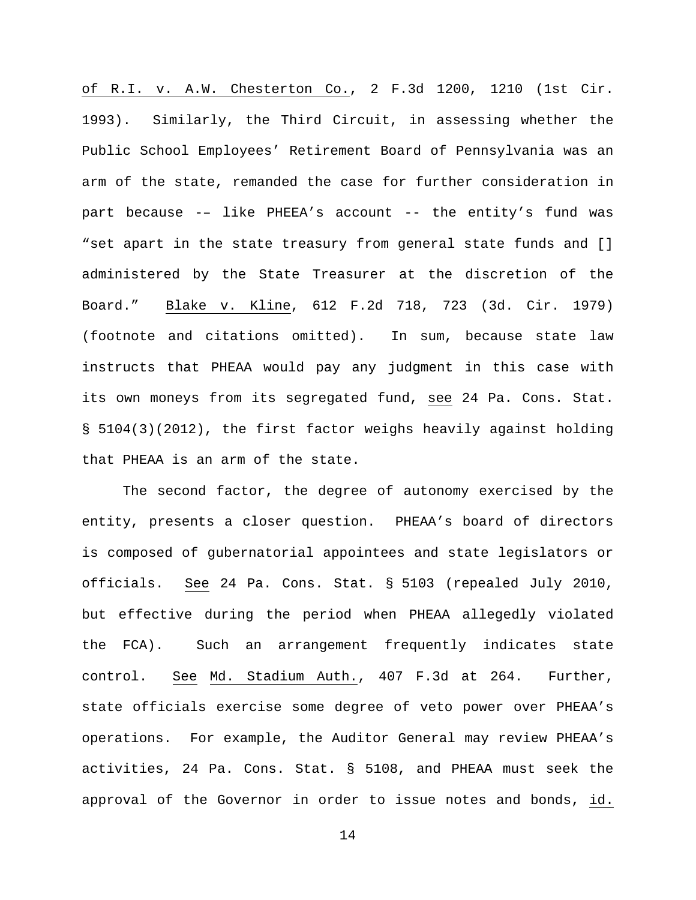of R.I. v. A.W. Chesterton Co., 2 F.3d 1200, 1210 (1st Cir. 1993). Similarly, the Third Circuit, in assessing whether the Public School Employees' Retirement Board of Pennsylvania was an arm of the state, remanded the case for further consideration in part because -– like PHEEA's account -- the entity's fund was "set apart in the state treasury from general state funds and [] administered by the State Treasurer at the discretion of the Board." Blake v. Kline, 612 F.2d 718, 723 (3d. Cir. 1979) (footnote and citations omitted). In sum, because state law instructs that PHEAA would pay any judgment in this case with its own moneys from its segregated fund, see 24 Pa. Cons. Stat. § 5104(3)(2012), the first factor weighs heavily against holding that PHEAA is an arm of the state.

The second factor, the degree of autonomy exercised by the entity, presents a closer question. PHEAA's board of directors is composed of gubernatorial appointees and state legislators or officials. See 24 Pa. Cons. Stat. § 5103 (repealed July 2010, but effective during the period when PHEAA allegedly violated the FCA). Such an arrangement frequently indicates state control. See Md. Stadium Auth., 407 F.3d at 264. Further, state officials exercise some degree of veto power over PHEAA's operations. For example, the Auditor General may review PHEAA's activities, 24 Pa. Cons. Stat. § 5108, and PHEAA must seek the approval of the Governor in order to issue notes and bonds, id.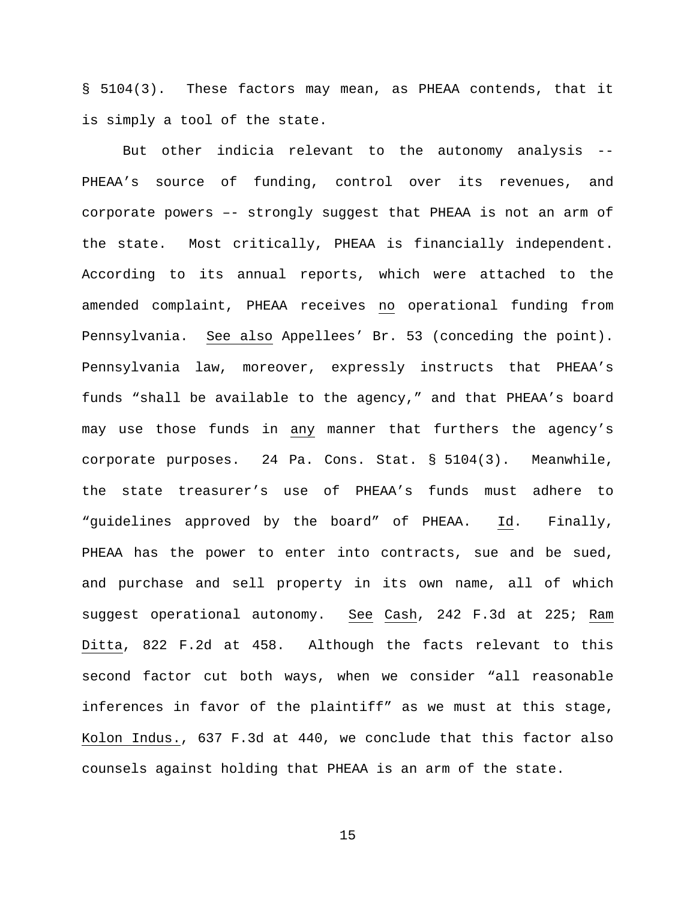§ 5104(3). These factors may mean, as PHEAA contends, that it is simply a tool of the state.

But other indicia relevant to the autonomy analysis -- PHEAA's source of funding, control over its revenues, and corporate powers –- strongly suggest that PHEAA is not an arm of the state. Most critically, PHEAA is financially independent. According to its annual reports, which were attached to the amended complaint, PHEAA receives no operational funding from Pennsylvania. See also Appellees' Br. 53 (conceding the point). Pennsylvania law, moreover, expressly instructs that PHEAA's funds "shall be available to the agency," and that PHEAA's board may use those funds in any manner that furthers the agency's corporate purposes. 24 Pa. Cons. Stat. § 5104(3). Meanwhile, the state treasurer's use of PHEAA's funds must adhere to "guidelines approved by the board" of PHEAA. Id. Finally, PHEAA has the power to enter into contracts, sue and be sued, and purchase and sell property in its own name, all of which suggest operational autonomy. See Cash, 242 F.3d at 225; Ram Ditta, 822 F.2d at 458. Although the facts relevant to this second factor cut both ways, when we consider "all reasonable inferences in favor of the plaintiff" as we must at this stage, Kolon Indus., 637 F.3d at 440, we conclude that this factor also counsels against holding that PHEAA is an arm of the state.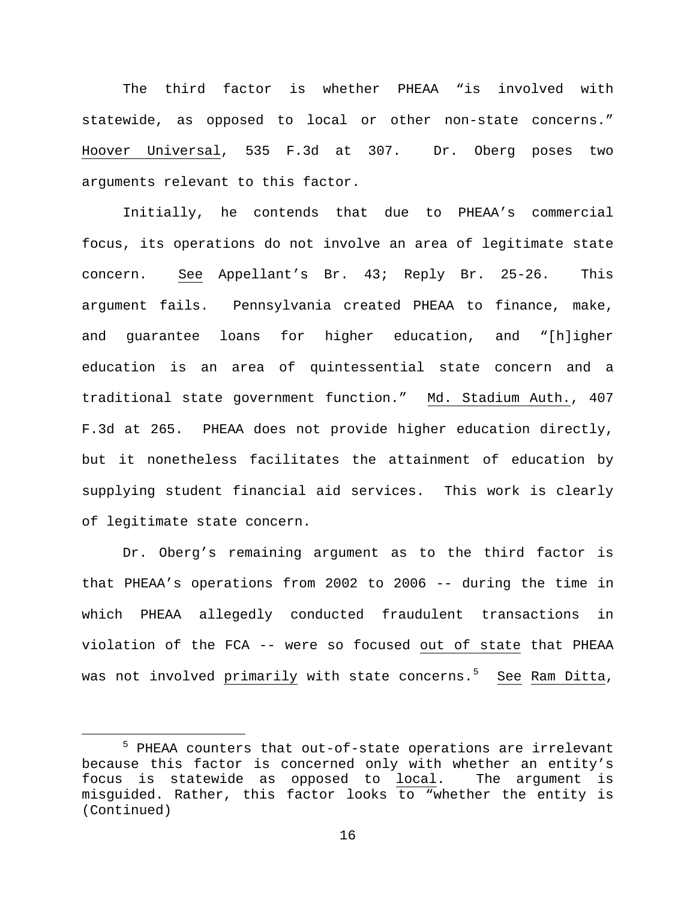The third factor is whether PHEAA "is involved with statewide, as opposed to local or other non-state concerns." Hoover Universal, 535 F.3d at 307. Dr. Oberg poses two arguments relevant to this factor.

Initially, he contends that due to PHEAA's commercial focus, its operations do not involve an area of legitimate state concern. See Appellant's Br. 43; Reply Br. 25-26. This argument fails. Pennsylvania created PHEAA to finance, make, and guarantee loans for higher education, and "[h]igher education is an area of quintessential state concern and a traditional state government function." Md. Stadium Auth., 407 F.3d at 265. PHEAA does not provide higher education directly, but it nonetheless facilitates the attainment of education by supplying student financial aid services. This work is clearly of legitimate state concern.

Dr. Oberg's remaining argument as to the third factor is that PHEAA's operations from 2002 to 2006 -- during the time in which PHEAA allegedly conducted fraudulent transactions in violation of the FCA -- were so focused out of state that PHEAA was not involved <u>primarily</u> with state concerns.<sup>[5](#page-15-0)</sup> <u>See</u> Ram Ditta,

<span id="page-15-0"></span> <sup>5</sup> PHEAA counters that out-of-state operations are irrelevant because this factor is concerned only with whether an entity's<br>focus is statewide as opposed to local. The argument is focus is statewide as opposed to local. misguided. Rather, this factor looks to "whether the entity is (Continued)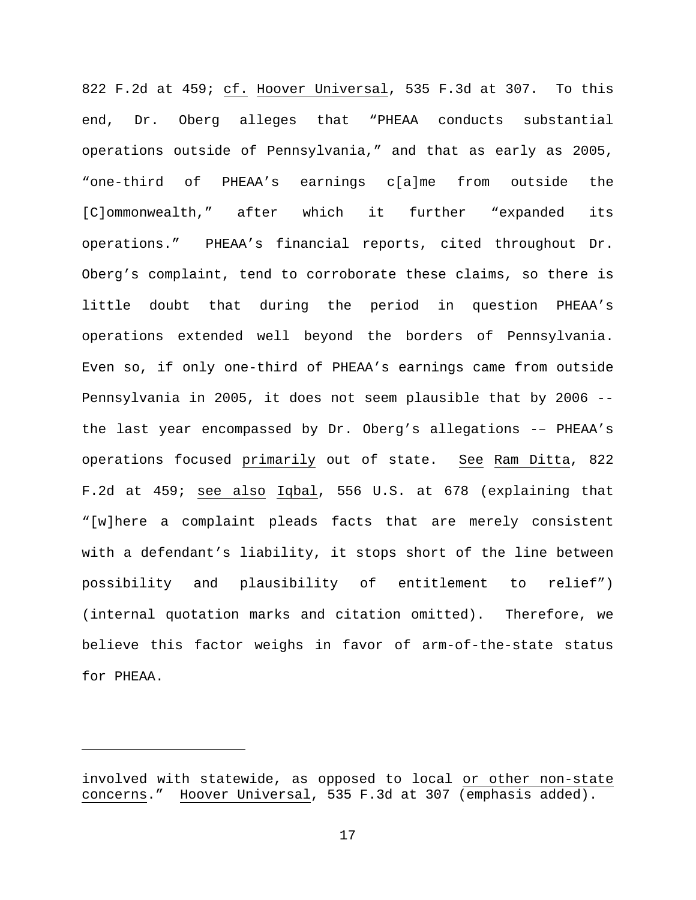822 F.2d at 459; cf. Hoover Universal, 535 F.3d at 307. To this end, Dr. Oberg alleges that "PHEAA conducts substantial operations outside of Pennsylvania," and that as early as 2005, "one-third of PHEAA's earnings c[a]me from outside the [C]ommonwealth," after which it further "expanded its operations." PHEAA's financial reports, cited throughout Dr. Oberg's complaint, tend to corroborate these claims, so there is little doubt that during the period in question PHEAA's operations extended well beyond the borders of Pennsylvania. Even so, if only one-third of PHEAA's earnings came from outside Pennsylvania in 2005, it does not seem plausible that by 2006 - the last year encompassed by Dr. Oberg's allegations -– PHEAA's operations focused primarily out of state. See Ram Ditta, 822 F.2d at 459; see also Iqbal, 556 U.S. at 678 (explaining that "[w]here a complaint pleads facts that are merely consistent with a defendant's liability, it stops short of the line between possibility and plausibility of entitlement to relief") (internal quotation marks and citation omitted). Therefore, we believe this factor weighs in favor of arm-of-the-state status for PHEAA.

Ĩ.

involved with statewide, as opposed to local or other non-state concerns." Hoover Universal, 535 F.3d at 307 (emphasis added).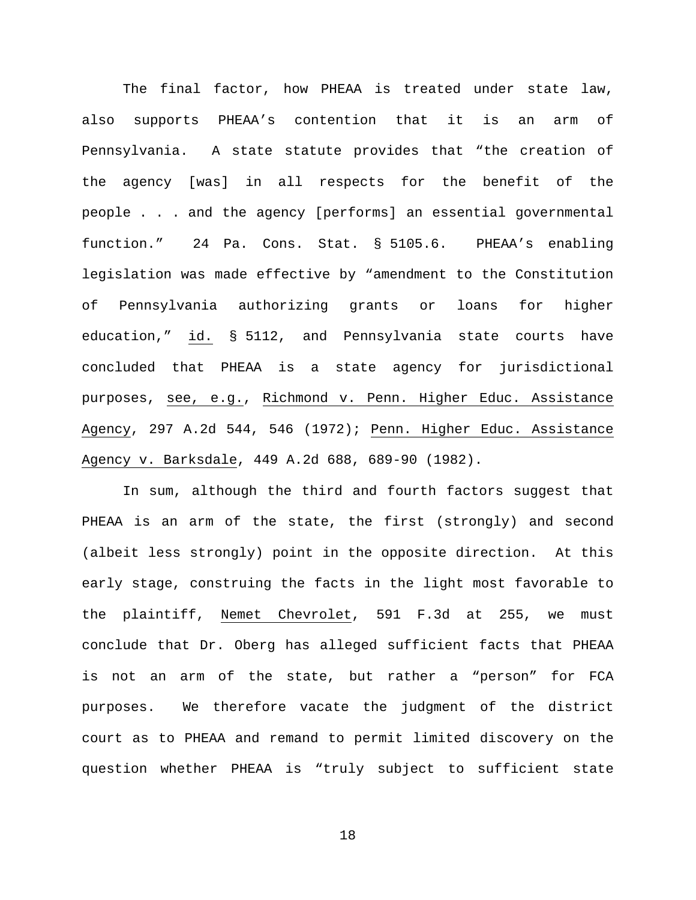The final factor, how PHEAA is treated under state law, also supports PHEAA's contention that it is an arm of Pennsylvania. A state statute provides that "the creation of the agency [was] in all respects for the benefit of the people . . . and the agency [performs] an essential governmental function." 24 Pa. Cons. Stat. § 5105.6. PHEAA's enabling legislation was made effective by "amendment to the Constitution of Pennsylvania authorizing grants or loans for higher education," id. § 5112, and Pennsylvania state courts have concluded that PHEAA is a state agency for jurisdictional purposes, see, e.g., Richmond v. Penn. Higher Educ. Assistance Agency, 297 A.2d 544, 546 (1972); Penn. Higher Educ. Assistance Agency v. Barksdale, 449 A.2d 688, 689-90 (1982).

In sum, although the third and fourth factors suggest that PHEAA is an arm of the state, the first (strongly) and second (albeit less strongly) point in the opposite direction. At this early stage, construing the facts in the light most favorable to the plaintiff, Nemet Chevrolet, 591 F.3d at 255, we must conclude that Dr. Oberg has alleged sufficient facts that PHEAA is not an arm of the state, but rather a "person" for FCA purposes. We therefore vacate the judgment of the district court as to PHEAA and remand to permit limited discovery on the question whether PHEAA is "truly subject to sufficient state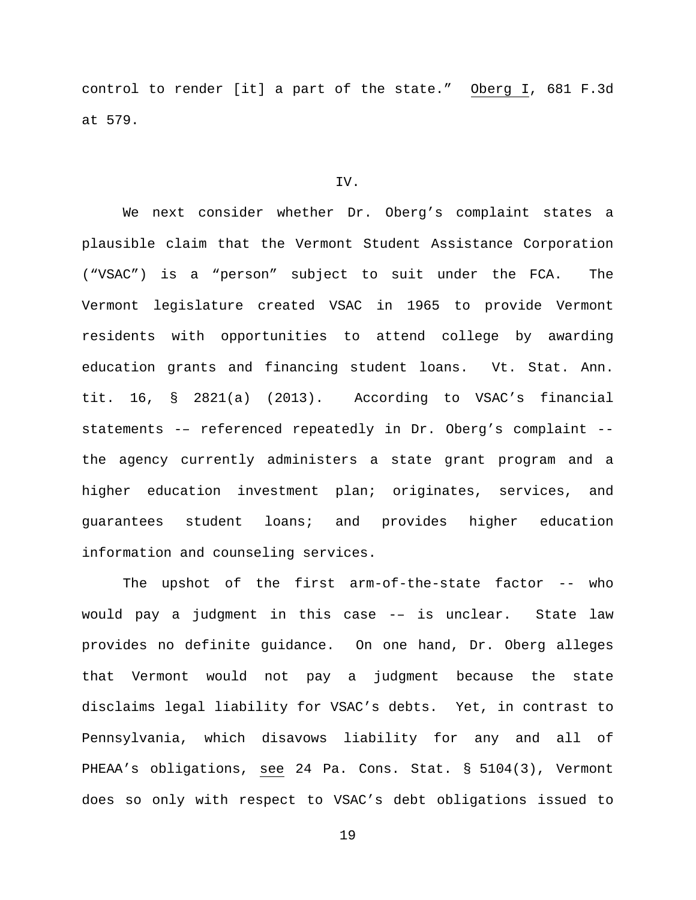control to render [it] a part of the state." Oberg  $I$ , 681 F.3d at 579.

## IV.

We next consider whether Dr. Oberg's complaint states a plausible claim that the Vermont Student Assistance Corporation ("VSAC") is a "person" subject to suit under the FCA. The Vermont legislature created VSAC in 1965 to provide Vermont residents with opportunities to attend college by awarding education grants and financing student loans. Vt. Stat. Ann. tit. 16, § 2821(a) (2013). According to VSAC's financial statements -– referenced repeatedly in Dr. Oberg's complaint - the agency currently administers a state grant program and a higher education investment plan; originates, services, and guarantees student loans; and provides higher education information and counseling services.

The upshot of the first arm-of-the-state factor -- who would pay a judgment in this case -– is unclear. State law provides no definite guidance. On one hand, Dr. Oberg alleges that Vermont would not pay a judgment because the state disclaims legal liability for VSAC's debts. Yet, in contrast to Pennsylvania, which disavows liability for any and all of PHEAA's obligations, see 24 Pa. Cons. Stat. § 5104(3), Vermont does so only with respect to VSAC's debt obligations issued to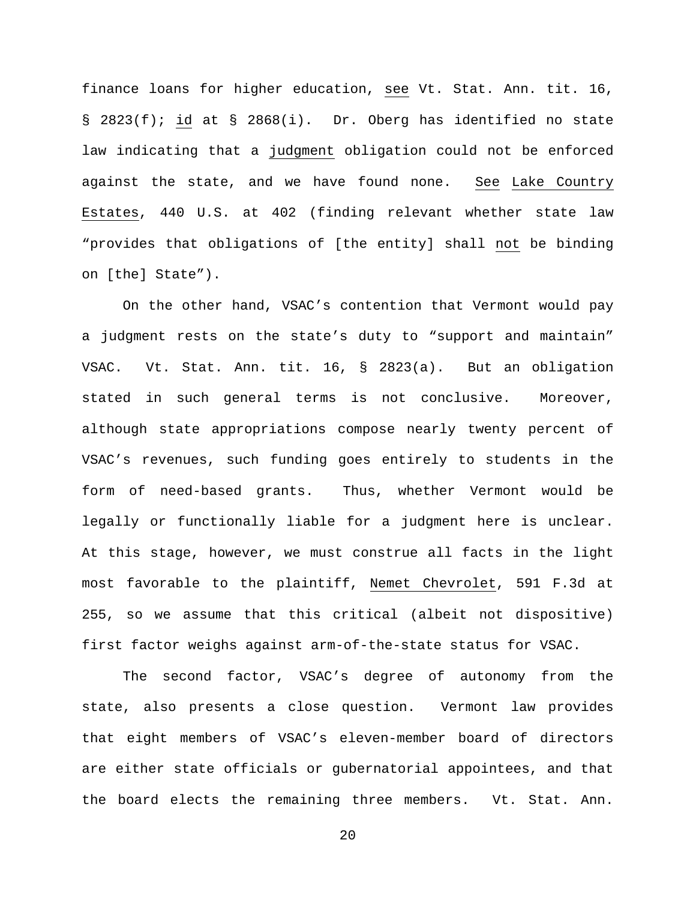finance loans for higher education, see Vt. Stat. Ann. tit. 16, § 2823(f); id at § 2868(i). Dr. Oberg has identified no state law indicating that a judgment obligation could not be enforced against the state, and we have found none. See Lake Country Estates, 440 U.S. at 402 (finding relevant whether state law "provides that obligations of [the entity] shall not be binding on [the] State").

On the other hand, VSAC's contention that Vermont would pay a judgment rests on the state's duty to "support and maintain" VSAC. Vt. Stat. Ann. tit. 16, § 2823(a). But an obligation stated in such general terms is not conclusive. Moreover, although state appropriations compose nearly twenty percent of VSAC's revenues, such funding goes entirely to students in the form of need-based grants. Thus, whether Vermont would be legally or functionally liable for a judgment here is unclear. At this stage, however, we must construe all facts in the light most favorable to the plaintiff, Nemet Chevrolet, 591 F.3d at 255, so we assume that this critical (albeit not dispositive) first factor weighs against arm-of-the-state status for VSAC.

The second factor, VSAC's degree of autonomy from the state, also presents a close question. Vermont law provides that eight members of VSAC's eleven-member board of directors are either state officials or gubernatorial appointees, and that the board elects the remaining three members. Vt. Stat. Ann.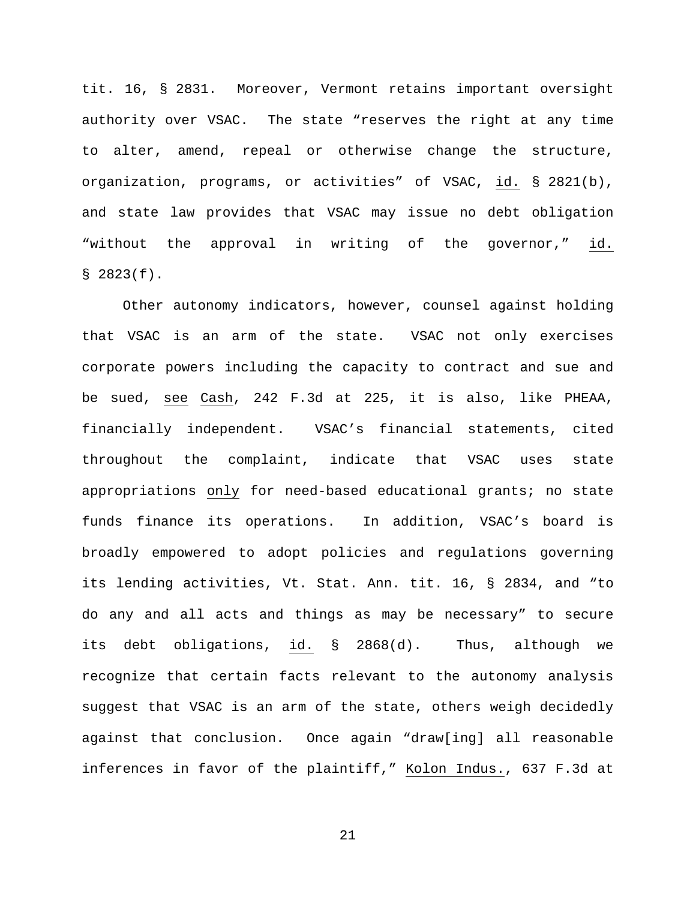tit. 16, § 2831. Moreover, Vermont retains important oversight authority over VSAC. The state "reserves the right at any time to alter, amend, repeal or otherwise change the structure, organization, programs, or activities" of VSAC, id. § 2821(b), and state law provides that VSAC may issue no debt obligation "without the approval in writing of the governor," id. § 2823(f).

Other autonomy indicators, however, counsel against holding that VSAC is an arm of the state. VSAC not only exercises corporate powers including the capacity to contract and sue and be sued, see Cash, 242 F.3d at 225, it is also, like PHEAA, financially independent. VSAC's financial statements, cited throughout the complaint, indicate that VSAC uses state appropriations only for need-based educational grants; no state funds finance its operations. In addition, VSAC's board is broadly empowered to adopt policies and regulations governing its lending activities, Vt. Stat. Ann. tit. 16, § 2834, and "to do any and all acts and things as may be necessary" to secure its debt obligations, id. § 2868(d). Thus, although we recognize that certain facts relevant to the autonomy analysis suggest that VSAC is an arm of the state, others weigh decidedly against that conclusion. Once again "draw[ing] all reasonable inferences in favor of the plaintiff," Kolon Indus., 637 F.3d at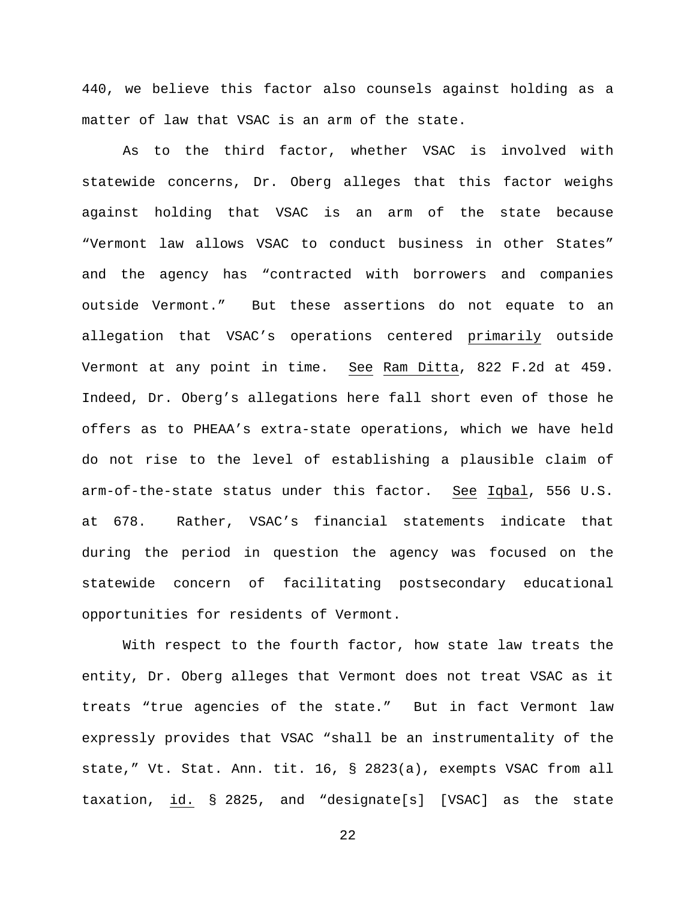440, we believe this factor also counsels against holding as a matter of law that VSAC is an arm of the state.

As to the third factor, whether VSAC is involved with statewide concerns, Dr. Oberg alleges that this factor weighs against holding that VSAC is an arm of the state because "Vermont law allows VSAC to conduct business in other States" and the agency has "contracted with borrowers and companies outside Vermont." But these assertions do not equate to an allegation that VSAC's operations centered primarily outside Vermont at any point in time. See Ram Ditta, 822 F.2d at 459. Indeed, Dr. Oberg's allegations here fall short even of those he offers as to PHEAA's extra-state operations, which we have held do not rise to the level of establishing a plausible claim of arm-of-the-state status under this factor. See Iqbal, 556 U.S. at 678. Rather, VSAC's financial statements indicate that during the period in question the agency was focused on the statewide concern of facilitating postsecondary educational opportunities for residents of Vermont.

With respect to the fourth factor, how state law treats the entity, Dr. Oberg alleges that Vermont does not treat VSAC as it treats "true agencies of the state." But in fact Vermont law expressly provides that VSAC "shall be an instrumentality of the state," Vt. Stat. Ann. tit. 16, § 2823(a), exempts VSAC from all taxation, id. § 2825, and "designate[s] [VSAC] as the state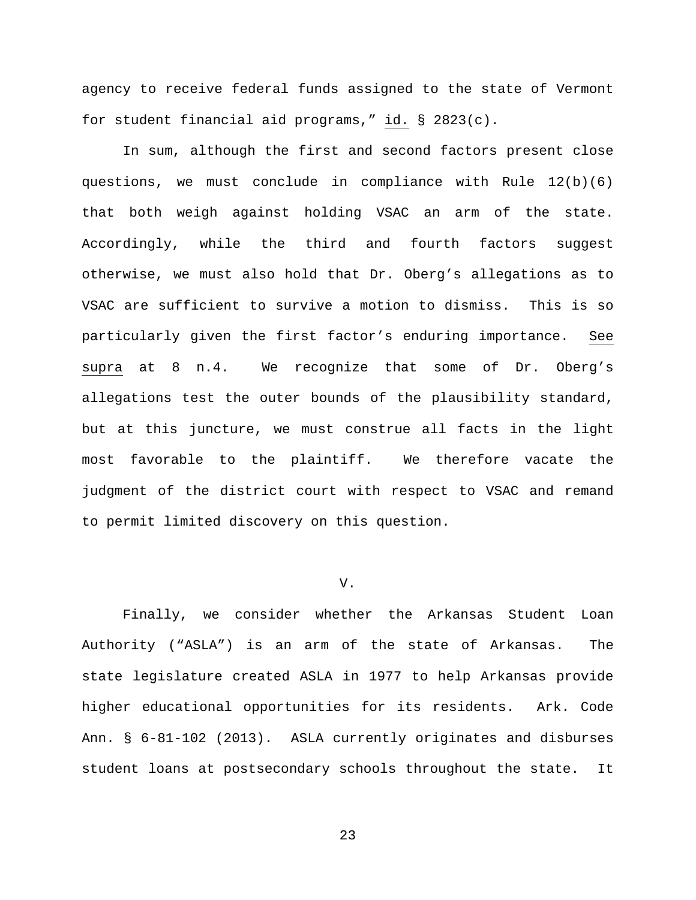agency to receive federal funds assigned to the state of Vermont for student financial aid programs," id. § 2823(c).

In sum, although the first and second factors present close questions, we must conclude in compliance with Rule  $12(b)(6)$ that both weigh against holding VSAC an arm of the state. Accordingly, while the third and fourth factors suggest otherwise, we must also hold that Dr. Oberg's allegations as to VSAC are sufficient to survive a motion to dismiss. This is so particularly given the first factor's enduring importance. See supra at 8 n.4. We recognize that some of Dr. Oberg's allegations test the outer bounds of the plausibility standard, but at this juncture, we must construe all facts in the light most favorable to the plaintiff. We therefore vacate the judgment of the district court with respect to VSAC and remand to permit limited discovery on this question.

## V.

Finally, we consider whether the Arkansas Student Loan Authority ("ASLA") is an arm of the state of Arkansas. The state legislature created ASLA in 1977 to help Arkansas provide higher educational opportunities for its residents. Ark. Code Ann. § 6-81-102 (2013). ASLA currently originates and disburses student loans at postsecondary schools throughout the state. It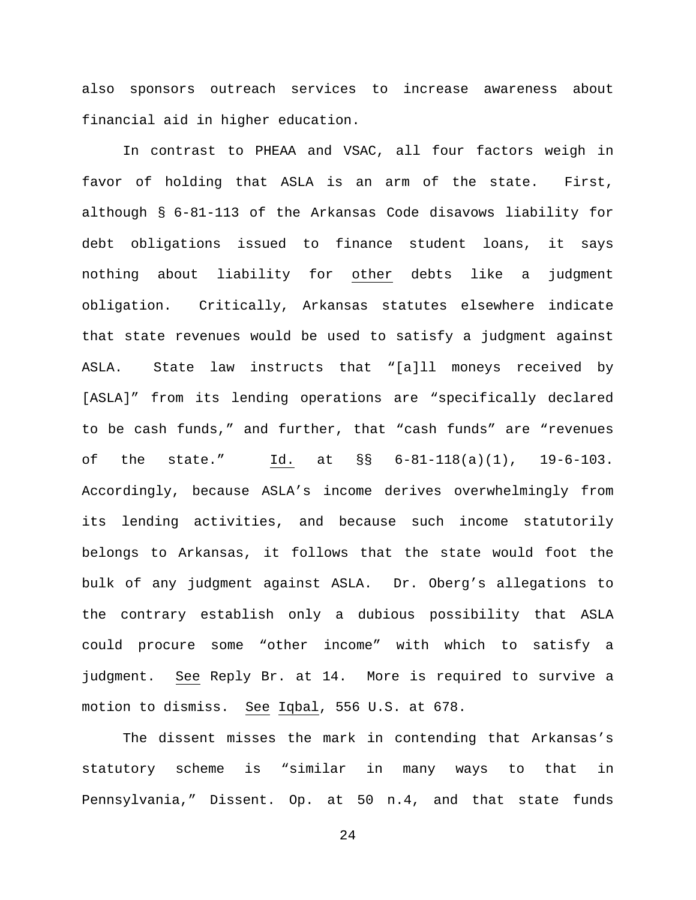also sponsors outreach services to increase awareness about financial aid in higher education.

In contrast to PHEAA and VSAC, all four factors weigh in favor of holding that ASLA is an arm of the state. First, although § 6-81-113 of the Arkansas Code disavows liability for debt obligations issued to finance student loans, it says nothing about liability for other debts like a judgment obligation. Critically, Arkansas statutes elsewhere indicate that state revenues would be used to satisfy a judgment against ASLA. State law instructs that "[a]ll moneys received by [ASLA]" from its lending operations are "specifically declared to be cash funds," and further, that "cash funds" are "revenues of the state." Id. at §§ 6-81-118(a)(1), 19-6-103. Accordingly, because ASLA's income derives overwhelmingly from its lending activities, and because such income statutorily belongs to Arkansas, it follows that the state would foot the bulk of any judgment against ASLA. Dr. Oberg's allegations to the contrary establish only a dubious possibility that ASLA could procure some "other income" with which to satisfy a judgment. See Reply Br. at 14. More is required to survive a motion to dismiss. See Iqbal, 556 U.S. at 678.

The dissent misses the mark in contending that Arkansas's statutory scheme is "similar in many ways to that in Pennsylvania," Dissent. Op. at 50 n.4, and that state funds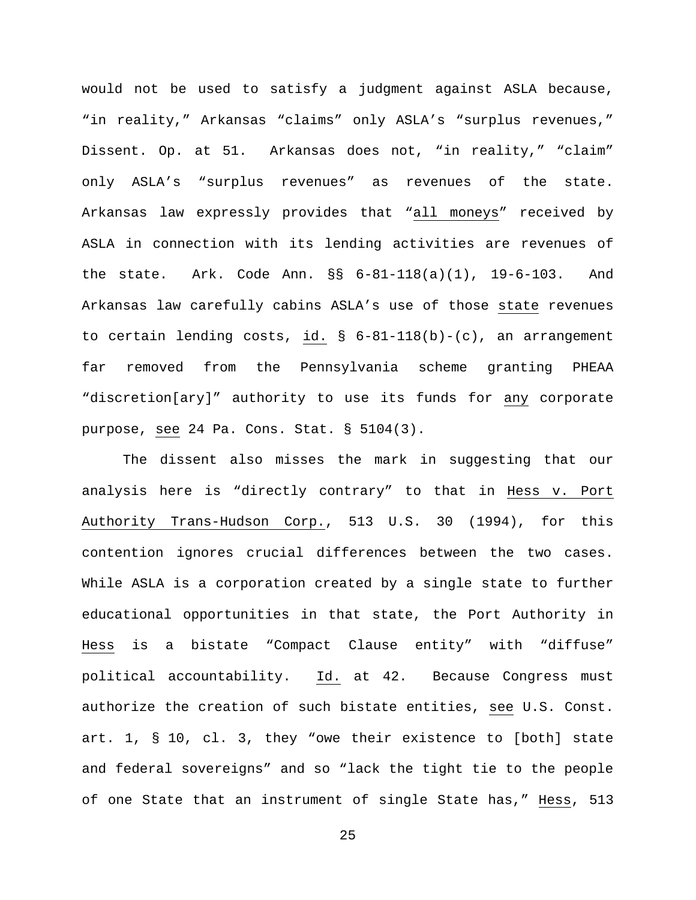would not be used to satisfy a judgment against ASLA because, "in reality," Arkansas "claims" only ASLA's "surplus revenues," Dissent. Op. at 51. Arkansas does not, "in reality," "claim" only ASLA's "surplus revenues" as revenues of the state. Arkansas law expressly provides that "all moneys" received by ASLA in connection with its lending activities are revenues of the state. Ark. Code Ann. §§ 6-81-118(a)(1), 19-6-103. And Arkansas law carefully cabins ASLA's use of those state revenues to certain lending costs, id. § 6-81-118(b)-(c), an arrangement far removed from the Pennsylvania scheme granting PHEAA "discretion[ary]" authority to use its funds for any corporate purpose, see 24 Pa. Cons. Stat. § 5104(3).

The dissent also misses the mark in suggesting that our analysis here is "directly contrary" to that in Hess v. Port Authority Trans-Hudson Corp., 513 U.S. 30 (1994), for this contention ignores crucial differences between the two cases. While ASLA is a corporation created by a single state to further educational opportunities in that state, the Port Authority in Hess is a bistate "Compact Clause entity" with "diffuse" political accountability. Id. at 42. Because Congress must authorize the creation of such bistate entities, see U.S. Const. art. 1, § 10, cl. 3, they "owe their existence to [both] state and federal sovereigns" and so "lack the tight tie to the people of one State that an instrument of single State has," Hess, 513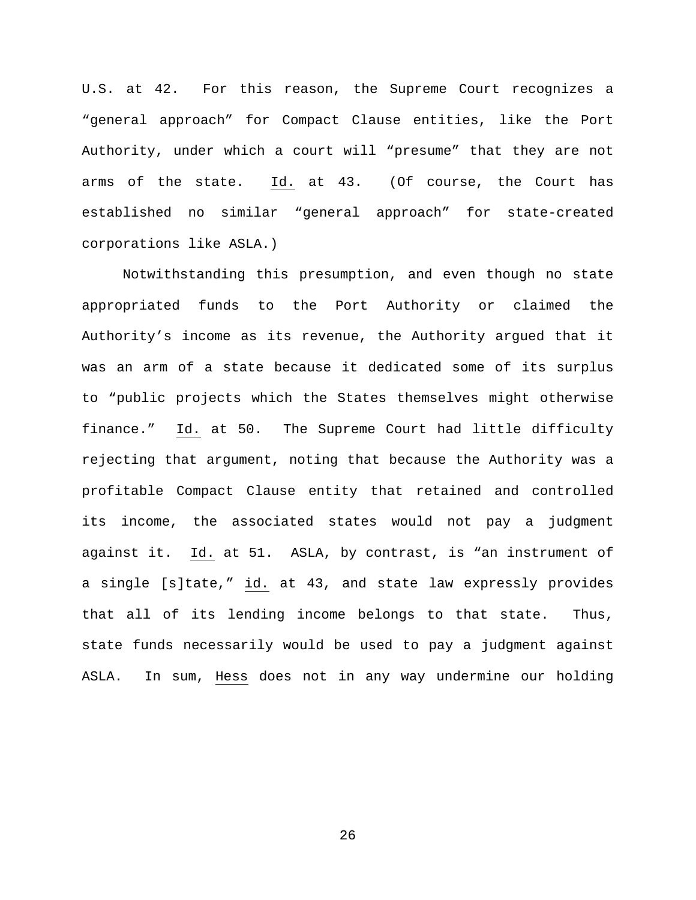U.S. at 42. For this reason, the Supreme Court recognizes a "general approach" for Compact Clause entities, like the Port Authority, under which a court will "presume" that they are not arms of the state. Id. at 43. (Of course, the Court has established no similar "general approach" for state-created corporations like ASLA.)

Notwithstanding this presumption, and even though no state appropriated funds to the Port Authority or claimed the Authority's income as its revenue, the Authority argued that it was an arm of a state because it dedicated some of its surplus to "public projects which the States themselves might otherwise finance." Id. at 50. The Supreme Court had little difficulty rejecting that argument, noting that because the Authority was a profitable Compact Clause entity that retained and controlled its income, the associated states would not pay a judgment against it. Id. at 51. ASLA, by contrast, is "an instrument of a single [s]tate," id. at 43, and state law expressly provides that all of its lending income belongs to that state. Thus, state funds necessarily would be used to pay a judgment against ASLA. In sum, Hess does not in any way undermine our holding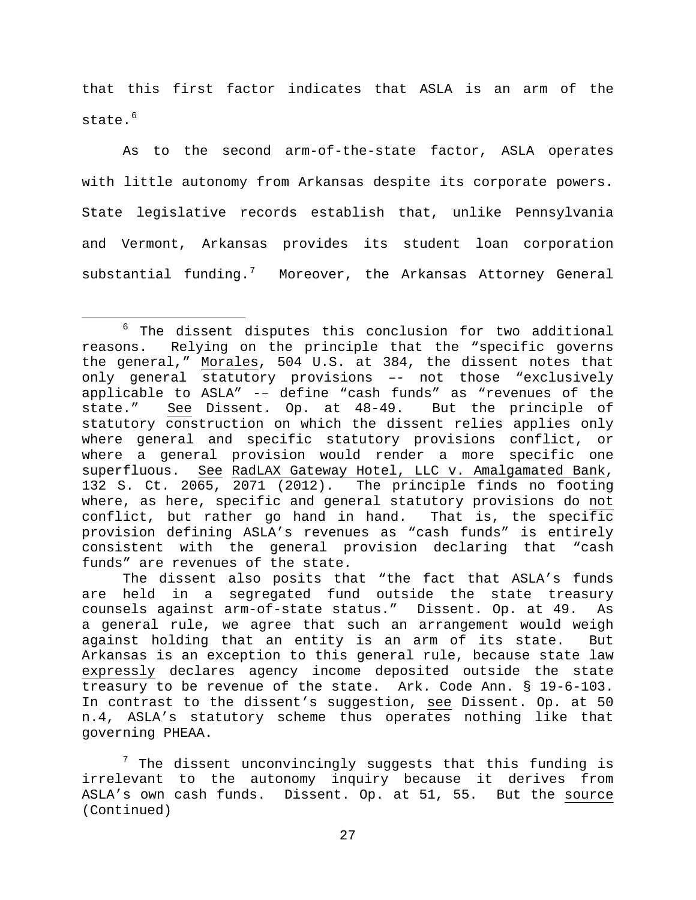that this first factor indicates that ASLA is an arm of the state.<sup>[6](#page-26-0)</sup>

As to the second arm-of-the-state factor, ASLA operates with little autonomy from Arkansas despite its corporate powers. State legislative records establish that, unlike Pennsylvania and Vermont, Arkansas provides its student loan corporation substantial funding.<sup>[7](#page-26-1)</sup> Moreover, the Arkansas Attorney General

<span id="page-26-0"></span><sup>&</sup>lt;sup>6</sup> The dissent disputes this conclusion for two additional reasons. Relying on the principle that the "specific governs Relying on the principle that the "specific governs the general," Morales, 504 U.S. at 384, the dissent notes that only general statutory provisions –- not those "exclusively applicable to ASLA" -– define "cash funds" as "revenues of the state." See Dissent. Op. at 48-49. But the principle of statutory construction on which the dissent relies applies only where general and specific statutory provisions conflict, or where a general provision would render a more specific one superfluous. See RadLAX Gateway Hotel, LLC v. Amalgamated Bank, 132 S. Ct. 2065, 2071 (2012). The principle finds no footing where, as here, specific and general statutory provisions do not conflict, but rather go hand in hand. That is, the specific provision defining ASLA's revenues as "cash funds" is entirely consistent with the general provision declaring that "cash funds" are revenues of the state.

The dissent also posits that "the fact that ASLA's funds are held in a segregated fund outside the state treasury counsels against arm-of-state status." Dissent. Op. at 49. As a general rule, we agree that such an arrangement would weigh against holding that an entity is an arm of its state. But Arkansas is an exception to this general rule, because state law expressly declares agency income deposited outside the state treasury to be revenue of the state. Ark. Code Ann. § 19-6-103. In contrast to the dissent's suggestion, see Dissent. Op. at 50 n.4, ASLA's statutory scheme thus operates nothing like that governing PHEAA.

<span id="page-26-1"></span> $7$  The dissent unconvincingly suggests that this funding is irrelevant to the autonomy inquiry because it derives from ASLA's own cash funds. Dissent. Op. at 51, 55. But the source (Continued)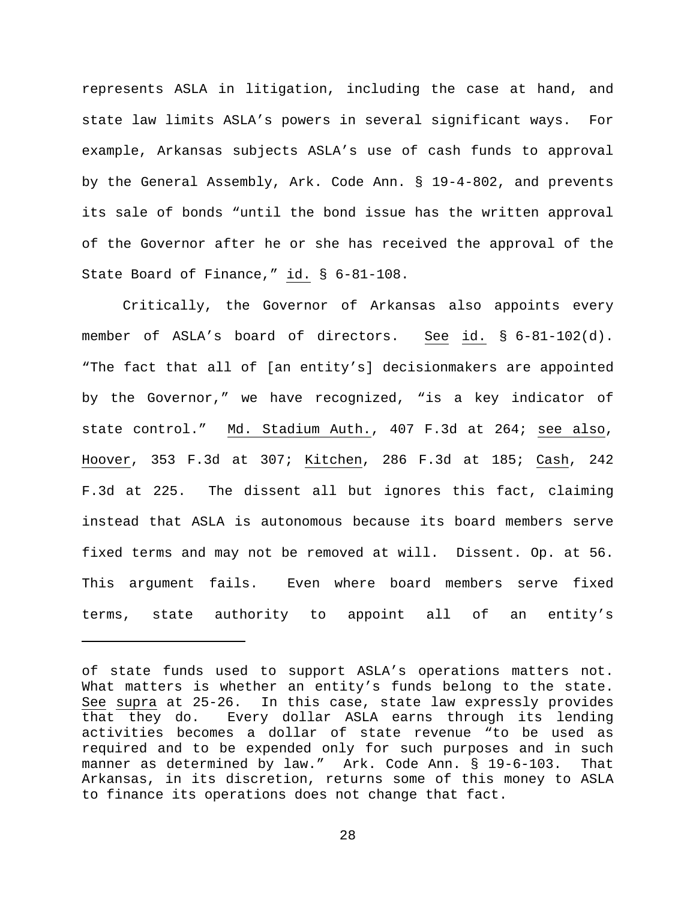represents ASLA in litigation, including the case at hand, and state law limits ASLA's powers in several significant ways. For example, Arkansas subjects ASLA's use of cash funds to approval by the General Assembly, Ark. Code Ann. § 19-4-802, and prevents its sale of bonds "until the bond issue has the written approval of the Governor after he or she has received the approval of the State Board of Finance," id. § 6-81-108.

Critically, the Governor of Arkansas also appoints every member of ASLA's board of directors. See id. § 6-81-102(d). "The fact that all of [an entity's] decisionmakers are appointed by the Governor," we have recognized, "is a key indicator of state control." Md. Stadium Auth., 407 F.3d at 264; see also, Hoover, 353 F.3d at 307; Kitchen, 286 F.3d at 185; Cash, 242 F.3d at 225. The dissent all but ignores this fact, claiming instead that ASLA is autonomous because its board members serve fixed terms and may not be removed at will. Dissent. Op. at 56. This argument fails. Even where board members serve fixed terms, state authority to appoint all of an entity's

Ĩ.

of state funds used to support ASLA's operations matters not. What matters is whether an entity's funds belong to the state. See supra at 25-26. In this case, state law expressly provides that they do. Every dollar ASLA earns through its lending activities becomes a dollar of state revenue "to be used as required and to be expended only for such purposes and in such manner as determined by law." Ark. Code Ann. § 19-6-103. That Arkansas, in its discretion, returns some of this money to ASLA to finance its operations does not change that fact.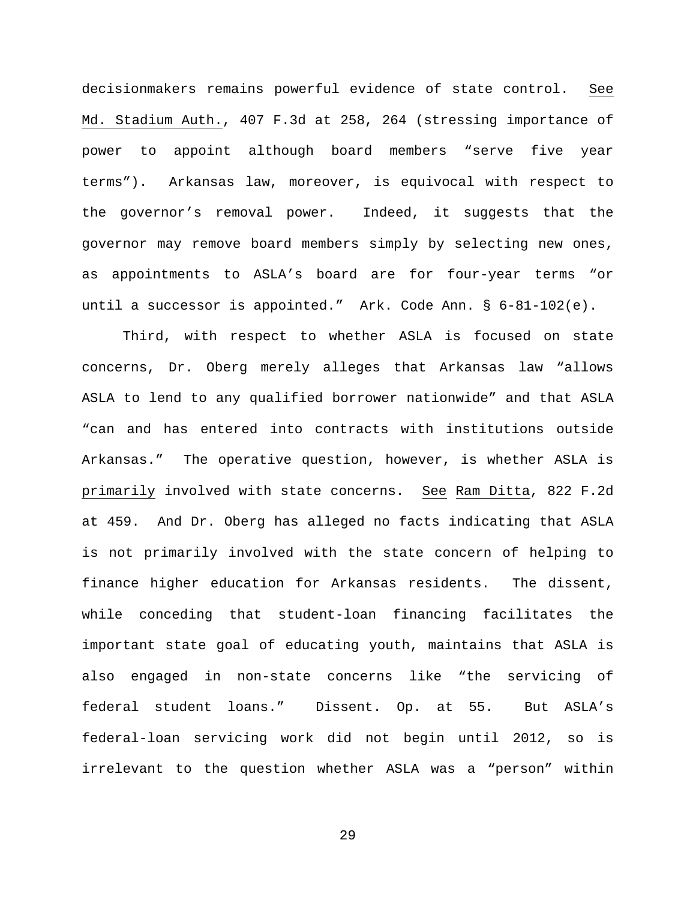decisionmakers remains powerful evidence of state control. See Md. Stadium Auth., 407 F.3d at 258, 264 (stressing importance of power to appoint although board members "serve five year terms"). Arkansas law, moreover, is equivocal with respect to the governor's removal power. Indeed, it suggests that the governor may remove board members simply by selecting new ones, as appointments to ASLA's board are for four-year terms "or until a successor is appointed." Ark. Code Ann. § 6-81-102(e).

Third, with respect to whether ASLA is focused on state concerns, Dr. Oberg merely alleges that Arkansas law "allows ASLA to lend to any qualified borrower nationwide" and that ASLA "can and has entered into contracts with institutions outside Arkansas." The operative question, however, is whether ASLA is primarily involved with state concerns. See Ram Ditta, 822 F.2d at 459. And Dr. Oberg has alleged no facts indicating that ASLA is not primarily involved with the state concern of helping to finance higher education for Arkansas residents. The dissent, while conceding that student-loan financing facilitates the important state goal of educating youth, maintains that ASLA is also engaged in non-state concerns like "the servicing of federal student loans." Dissent. Op. at 55. But ASLA's federal-loan servicing work did not begin until 2012, so is irrelevant to the question whether ASLA was a "person" within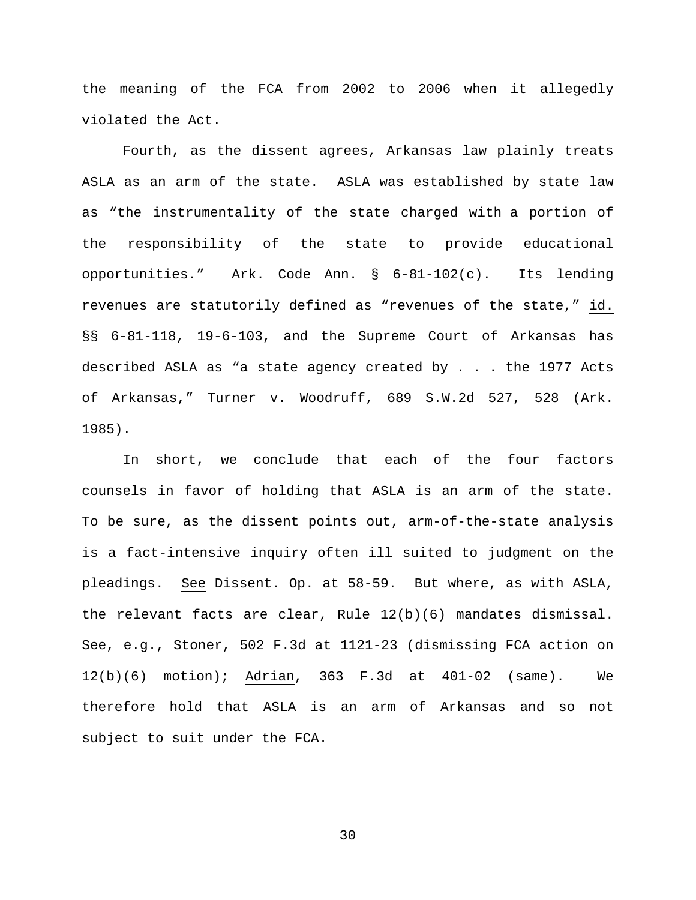the meaning of the FCA from 2002 to 2006 when it allegedly violated the Act.

Fourth, as the dissent agrees, Arkansas law plainly treats ASLA as an arm of the state. ASLA was established by state law as "the instrumentality of the state charged with a portion of the responsibility of the state to provide educational opportunities." Ark. Code Ann. § 6-81-102(c). Its lending revenues are statutorily defined as "revenues of the state," id. §§ 6-81-118, 19-6-103, and the Supreme Court of Arkansas has described ASLA as "a state agency created by . . . the 1977 Acts of Arkansas," Turner v. Woodruff, 689 S.W.2d 527, 528 (Ark. 1985).

In short, we conclude that each of the four factors counsels in favor of holding that ASLA is an arm of the state. To be sure, as the dissent points out, arm-of-the-state analysis is a fact-intensive inquiry often ill suited to judgment on the pleadings. See Dissent. Op. at 58-59. But where, as with ASLA, the relevant facts are clear, Rule 12(b)(6) mandates dismissal. See, e.g., Stoner, 502 F.3d at 1121-23 (dismissing FCA action on 12(b)(6) motion); Adrian, 363 F.3d at 401-02 (same). We therefore hold that ASLA is an arm of Arkansas and so not subject to suit under the FCA.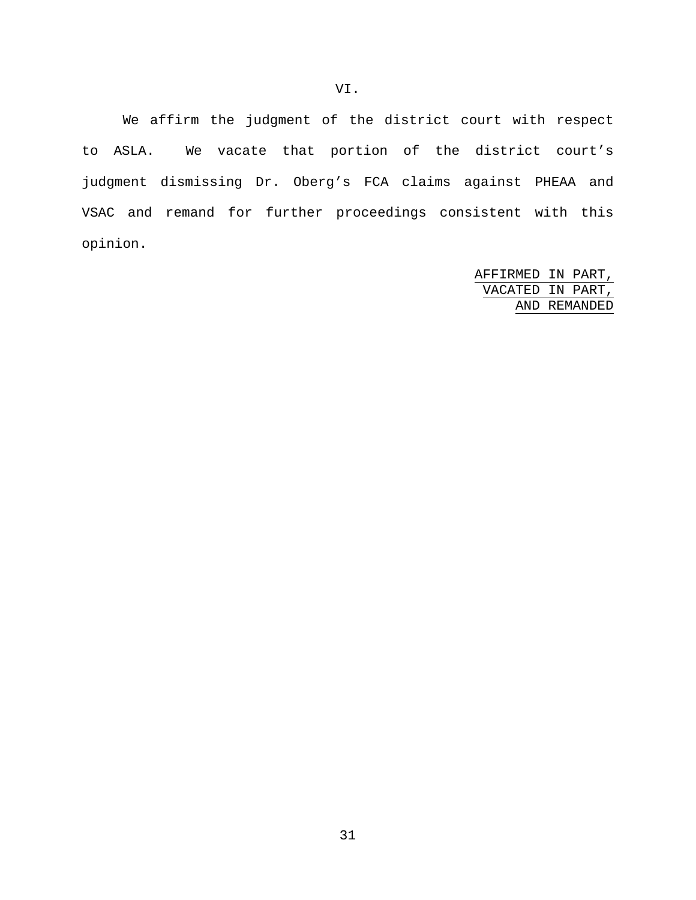We affirm the judgment of the district court with respect to ASLA. We vacate that portion of the district court's judgment dismissing Dr. Oberg's FCA claims against PHEAA and VSAC and remand for further proceedings consistent with this opinion.

> AFFIRMED IN PART, VACATED IN PART, AND REMANDED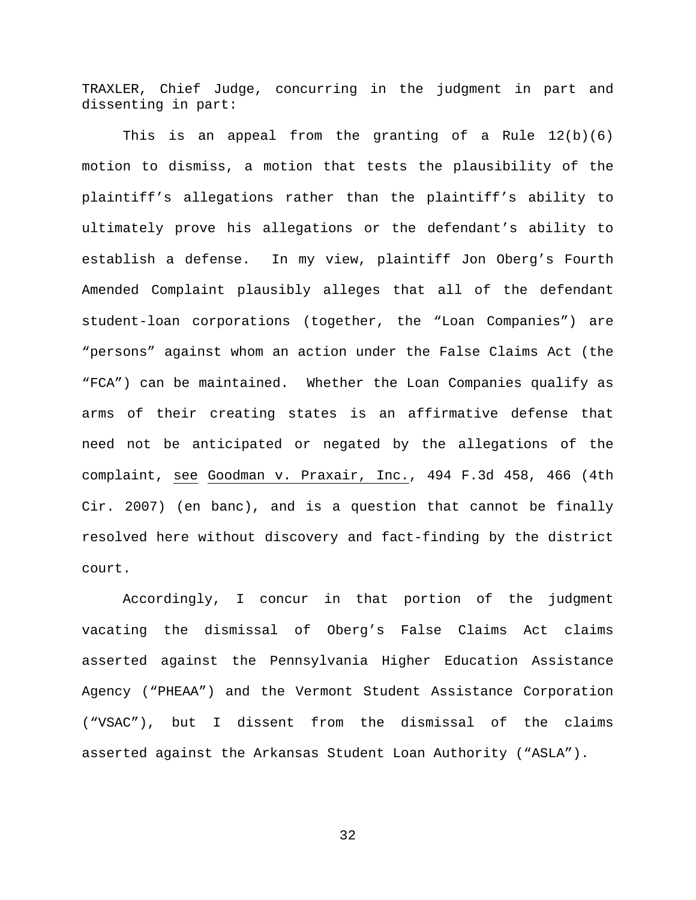TRAXLER, Chief Judge, concurring in the judgment in part and dissenting in part:

This is an appeal from the granting of a Rule  $12(b)(6)$ motion to dismiss, a motion that tests the plausibility of the plaintiff's allegations rather than the plaintiff's ability to ultimately prove his allegations or the defendant's ability to establish a defense. In my view, plaintiff Jon Oberg's Fourth Amended Complaint plausibly alleges that all of the defendant student-loan corporations (together, the "Loan Companies") are "persons" against whom an action under the False Claims Act (the "FCA") can be maintained. Whether the Loan Companies qualify as arms of their creating states is an affirmative defense that need not be anticipated or negated by the allegations of the complaint, see Goodman v. Praxair, Inc., 494 F.3d 458, 466 (4th Cir. 2007) (en banc), and is a question that cannot be finally resolved here without discovery and fact-finding by the district court.

Accordingly, I concur in that portion of the judgment vacating the dismissal of Oberg's False Claims Act claims asserted against the Pennsylvania Higher Education Assistance Agency ("PHEAA") and the Vermont Student Assistance Corporation ("VSAC"), but I dissent from the dismissal of the claims asserted against the Arkansas Student Loan Authority ("ASLA").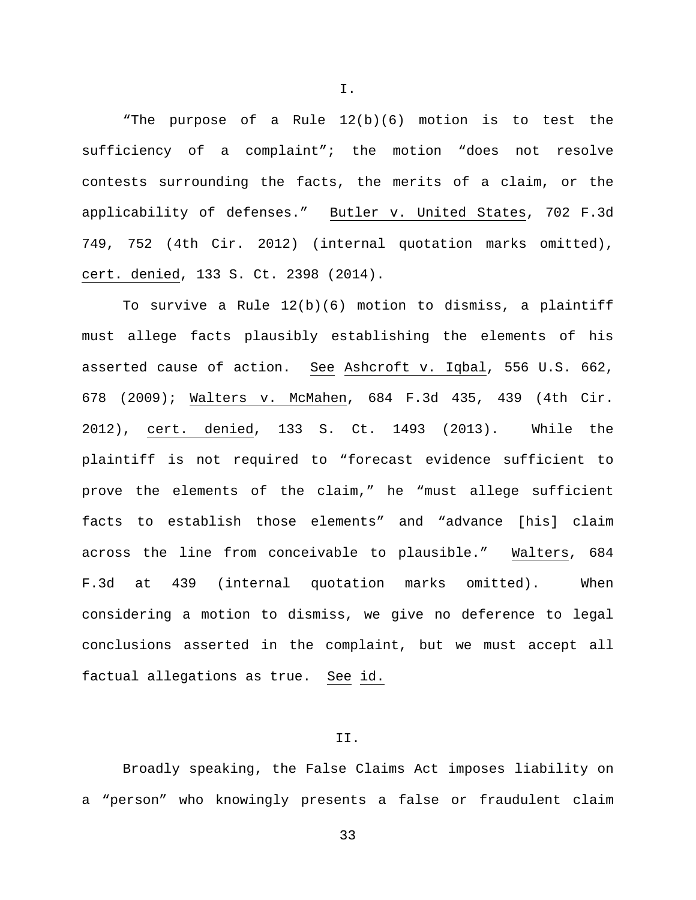"The purpose of a Rule 12(b)(6) motion is to test the sufficiency of a complaint"; the motion "does not resolve contests surrounding the facts, the merits of a claim, or the applicability of defenses." Butler v. United States, 702 F.3d 749, 752 (4th Cir. 2012) (internal quotation marks omitted), cert. denied, 133 S. Ct. 2398 (2014).

To survive a Rule 12(b)(6) motion to dismiss, a plaintiff must allege facts plausibly establishing the elements of his asserted cause of action. See Ashcroft v. Iqbal, 556 U.S. 662, 678 (2009); Walters v. McMahen, 684 F.3d 435, 439 (4th Cir. 2012), cert. denied, 133 S. Ct. 1493 (2013). While the plaintiff is not required to "forecast evidence sufficient to prove the elements of the claim," he "must allege sufficient facts to establish those elements" and "advance [his] claim across the line from conceivable to plausible." Walters, 684 F.3d at 439 (internal quotation marks omitted). When considering a motion to dismiss, we give no deference to legal conclusions asserted in the complaint, but we must accept all factual allegations as true. See id.

# II.

Broadly speaking, the False Claims Act imposes liability on a "person" who knowingly presents a false or fraudulent claim

33

I.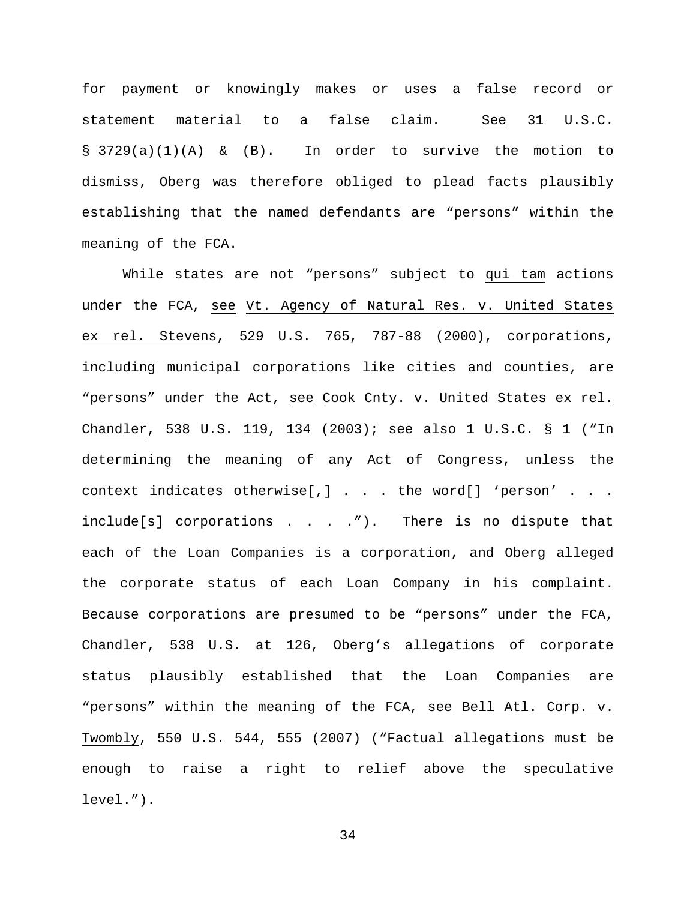for payment or knowingly makes or uses a false record or statement material to a false claim. See 31 U.S.C.  $\S$  3729(a)(1)(A) & (B). In order to survive the motion to dismiss, Oberg was therefore obliged to plead facts plausibly establishing that the named defendants are "persons" within the meaning of the FCA.

While states are not "persons" subject to qui tam actions under the FCA, see Vt. Agency of Natural Res. v. United States ex rel. Stevens, 529 U.S. 765, 787-88 (2000), corporations, including municipal corporations like cities and counties, are "persons" under the Act, see Cook Cnty. v. United States ex rel. Chandler, 538 U.S. 119, 134 (2003); see also 1 U.S.C. § 1 ("In determining the meaning of any Act of Congress, unless the context indicates otherwise[,] . . . the word[] 'person' . . . include[s] corporations . . . ."). There is no dispute that each of the Loan Companies is a corporation, and Oberg alleged the corporate status of each Loan Company in his complaint. Because corporations are presumed to be "persons" under the FCA, Chandler, 538 U.S. at 126, Oberg's allegations of corporate status plausibly established that the Loan Companies are "persons" within the meaning of the FCA, see Bell Atl. Corp. v. Twombly, 550 U.S. 544, 555 (2007) ("Factual allegations must be enough to raise a right to relief above the speculative level.").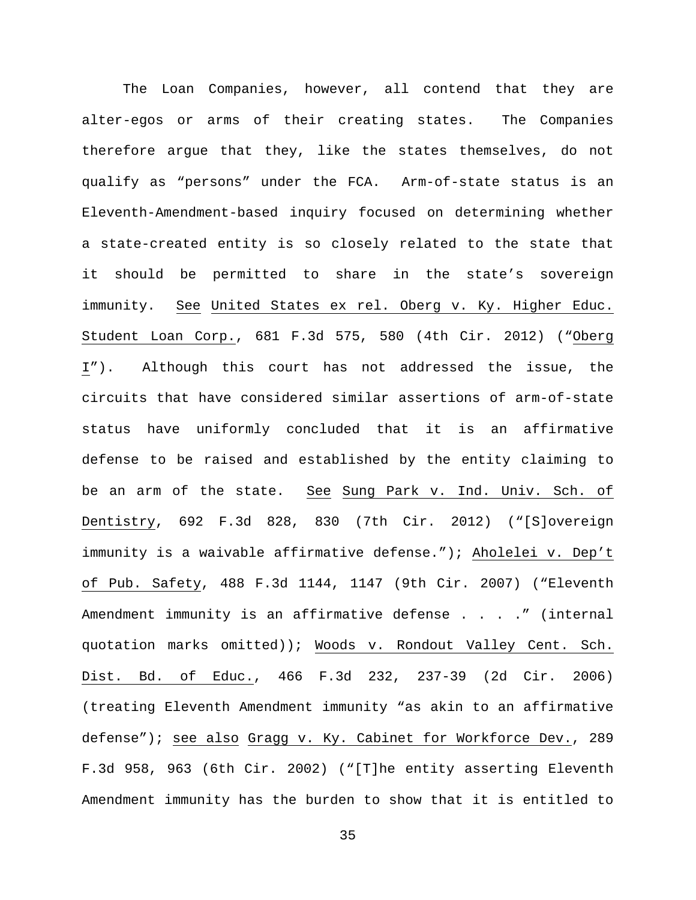The Loan Companies, however, all contend that they are alter-egos or arms of their creating states. The Companies therefore argue that they, like the states themselves, do not qualify as "persons" under the FCA. Arm-of-state status is an Eleventh-Amendment-based inquiry focused on determining whether a state-created entity is so closely related to the state that it should be permitted to share in the state's sovereign immunity. See United States ex rel. Oberg v. Ky. Higher Educ. Student Loan Corp., 681 F.3d 575, 580 (4th Cir. 2012) ("Oberg I"). Although this court has not addressed the issue, the circuits that have considered similar assertions of arm-of-state status have uniformly concluded that it is an affirmative defense to be raised and established by the entity claiming to be an arm of the state. See Sung Park v. Ind. Univ. Sch. of Dentistry, 692 F.3d 828, 830 (7th Cir. 2012) ("[S]overeign immunity is a waivable affirmative defense."); Aholelei v. Dep't of Pub. Safety, 488 F.3d 1144, 1147 (9th Cir. 2007) ("Eleventh Amendment immunity is an affirmative defense . . . . " (internal quotation marks omitted)); Woods v. Rondout Valley Cent. Sch. Dist. Bd. of Educ., 466 F.3d 232, 237-39 (2d Cir. 2006) (treating Eleventh Amendment immunity "as akin to an affirmative defense"); see also Gragg v. Ky. Cabinet for Workforce Dev., 289 F.3d 958, 963 (6th Cir. 2002) ("[T]he entity asserting Eleventh Amendment immunity has the burden to show that it is entitled to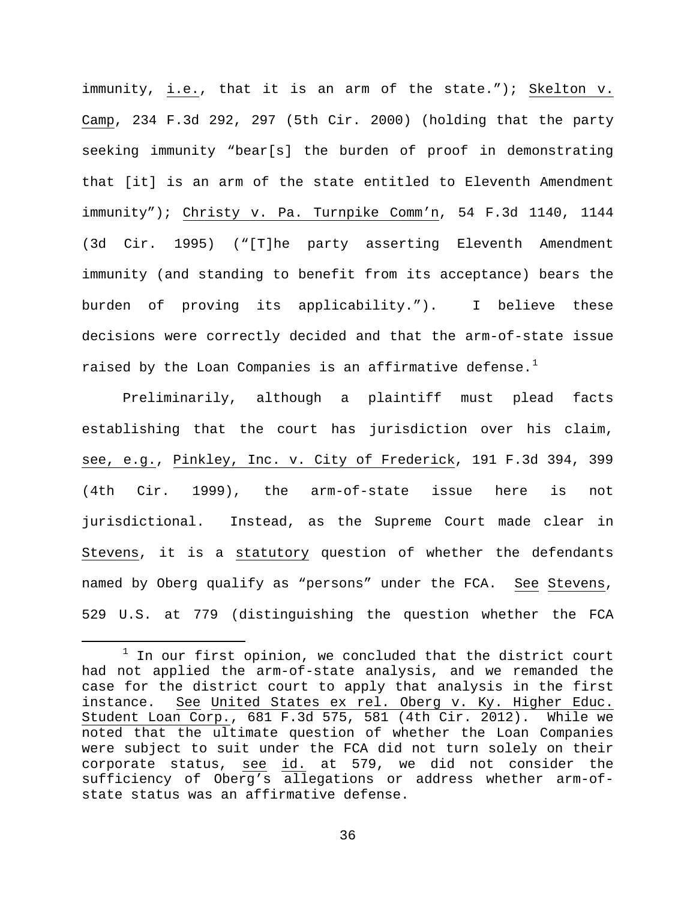immunity, i.e., that it is an arm of the state."); Skelton v. Camp, 234 F.3d 292, 297 (5th Cir. 2000) (holding that the party seeking immunity "bear[s] the burden of proof in demonstrating that [it] is an arm of the state entitled to Eleventh Amendment immunity"); Christy v. Pa. Turnpike Comm'n, 54 F.3d 1140, 1144 (3d Cir. 1995) ("[T]he party asserting Eleventh Amendment immunity (and standing to benefit from its acceptance) bears the burden of proving its applicability."). I believe these decisions were correctly decided and that the arm-of-state issue raised by the Loan Companies is an affirmative defense.<sup>[1](#page-35-0)</sup>

Preliminarily, although a plaintiff must plead facts establishing that the court has jurisdiction over his claim, see, e.g., Pinkley, Inc. v. City of Frederick, 191 F.3d 394, 399 (4th Cir. 1999), the arm-of-state issue here is not jurisdictional. Instead, as the Supreme Court made clear in Stevens, it is a statutory question of whether the defendants named by Oberg qualify as "persons" under the FCA. See Stevens, 529 U.S. at 779 (distinguishing the question whether the FCA

<span id="page-35-0"></span> $1$  In our first opinion, we concluded that the district court had not applied the arm-of-state analysis, and we remanded the case for the district court to apply that analysis in the first instance. See United States ex rel. Oberg v. Ky. Higher Educ. Student Loan Corp., 681 F.3d 575, 581 (4th Cir. 2012). While we noted that the ultimate question of whether the Loan Companies were subject to suit under the FCA did not turn solely on their corporate status, see id. at 579, we did not consider the sufficiency of Oberg's allegations or address whether arm-ofstate status was an affirmative defense.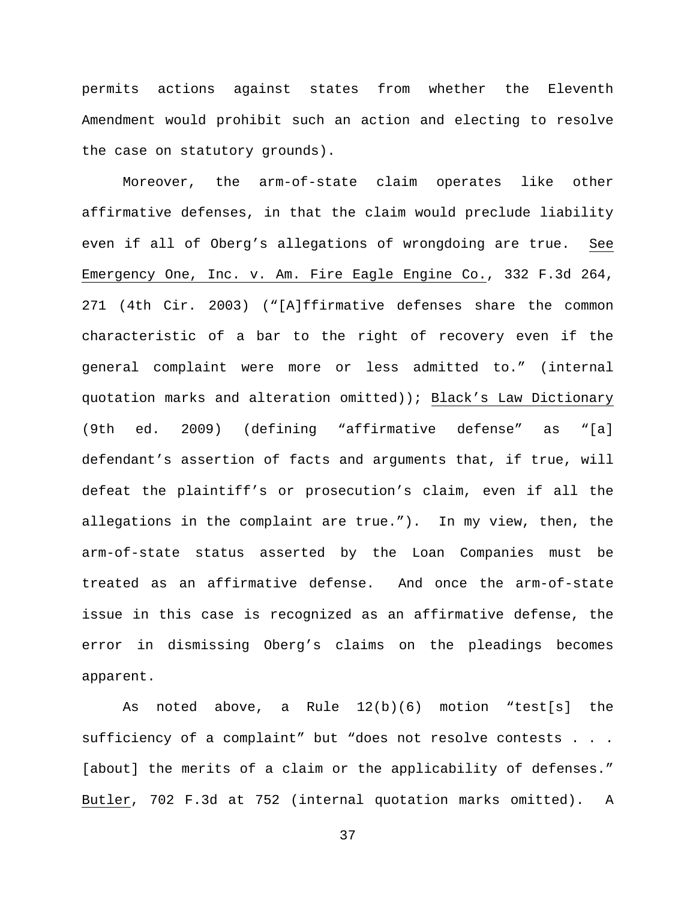permits actions against states from whether the Eleventh Amendment would prohibit such an action and electing to resolve the case on statutory grounds).

Moreover, the arm-of-state claim operates like other affirmative defenses, in that the claim would preclude liability even if all of Oberg's allegations of wrongdoing are true. See Emergency One, Inc. v. Am. Fire Eagle Engine Co., 332 F.3d 264, 271 (4th Cir. 2003) ("[A]ffirmative defenses share the common characteristic of a bar to the right of recovery even if the general complaint were more or less admitted to." (internal quotation marks and alteration omitted)); Black's Law Dictionary (9th ed. 2009) (defining "affirmative defense" as "[a] defendant's assertion of facts and arguments that, if true, will defeat the plaintiff's or prosecution's claim, even if all the allegations in the complaint are true."). In my view, then, the arm-of-state status asserted by the Loan Companies must be treated as an affirmative defense. And once the arm-of-state issue in this case is recognized as an affirmative defense, the error in dismissing Oberg's claims on the pleadings becomes apparent.

As noted above, a Rule 12(b)(6) motion "test[s] the sufficiency of a complaint" but "does not resolve contests . . . [about] the merits of a claim or the applicability of defenses." Butler, 702 F.3d at 752 (internal quotation marks omitted). A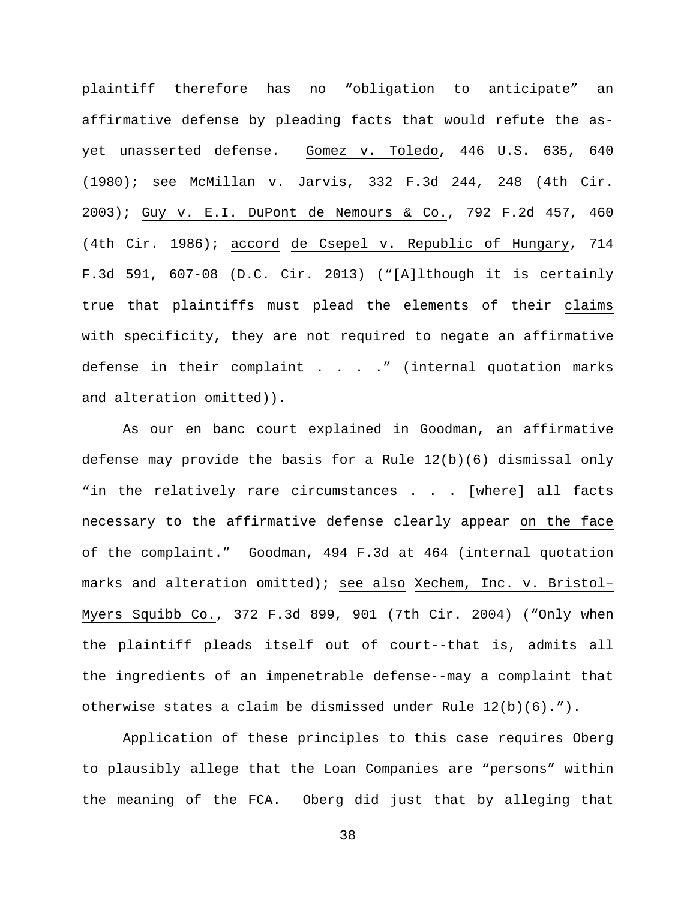plaintiff therefore has no "obligation to anticipate" an affirmative defense by pleading facts that would refute the asyet unasserted defense. Gomez v. Toledo, 446 U.S. 635, 640 (1980); see McMillan v. Jarvis, 332 F.3d 244, 248 (4th Cir. 2003); Guy v. E.I. DuPont de Nemours & Co., 792 F.2d 457, 460 (4th Cir. 1986); accord de Csepel v. Republic of Hungary, 714 F.3d 591, 607-08 (D.C. Cir. 2013) ("[A]lthough it is certainly true that plaintiffs must plead the elements of their claims with specificity, they are not required to negate an affirmative defense in their complaint . . . . " (internal quotation marks and alteration omitted)).

As our en banc court explained in Goodman, an affirmative defense may provide the basis for a Rule  $12(b)(6)$  dismissal only "in the relatively rare circumstances . . . [where] all facts necessary to the affirmative defense clearly appear on the face of the complaint." Goodman, 494 F.3d at 464 (internal quotation marks and alteration omitted); see also Xechem, Inc. v. Bristol– Myers Squibb Co., 372 F.3d 899, 901 (7th Cir. 2004) ("Only when the plaintiff pleads itself out of court--that is, admits all the ingredients of an impenetrable defense--may a complaint that otherwise states a claim be dismissed under Rule 12(b)(6).").

Application of these principles to this case requires Oberg to plausibly allege that the Loan Companies are "persons" within the meaning of the FCA. Oberg did just that by alleging that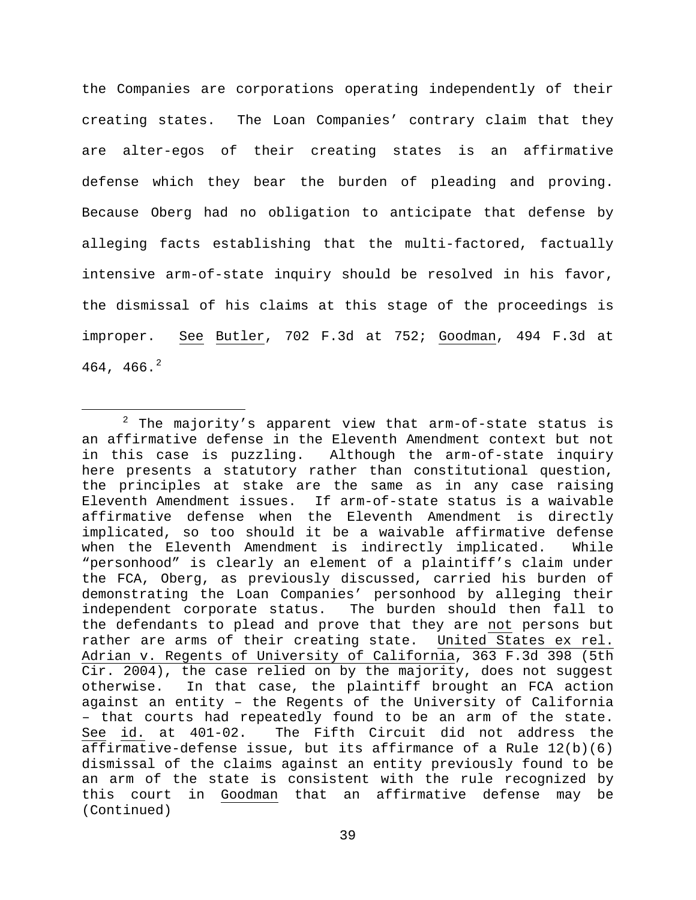the Companies are corporations operating independently of their creating states. The Loan Companies' contrary claim that they are alter-egos of their creating states is an affirmative defense which they bear the burden of pleading and proving. Because Oberg had no obligation to anticipate that defense by alleging facts establishing that the multi-factored, factually intensive arm-of-state inquiry should be resolved in his favor, the dismissal of his claims at this stage of the proceedings is improper. See Butler, 702 F.3d at 752; Goodman, 494 F.3d at 464, 466.<sup>[2](#page-38-0)</sup>

<span id="page-38-0"></span> $2$  The majority's apparent view that arm-of-state status is an affirmative defense in the Eleventh Amendment context but not in this case is puzzling. Although the arm-of-state inquiry here presents a statutory rather than constitutional question, the principles at stake are the same as in any case raising Eleventh Amendment issues. If arm-of-state status is a waivable affirmative defense when the Eleventh Amendment is directly implicated, so too should it be a waivable affirmative defense when the Eleventh Amendment is indirectly implicated. While "personhood" is clearly an element of a plaintiff's claim under the FCA, Oberg, as previously discussed, carried his burden of demonstrating the Loan Companies' personhood by alleging their independent corporate status. The burden should then fall to the defendants to plead and prove that they are not persons but rather are arms of their creating state. United States ex rel. Adrian v. Regents of University of California, 363 F.3d 398 (5th Cir. 2004), the case relied on by the majority, does not suggest otherwise. In that case, the plaintiff brought an FCA action against an entity – the Regents of the University of California – that courts had repeatedly found to be an arm of the state. The Fifth Circuit did not address the affirmative-defense issue, but its affirmance of a Rule 12(b)(6) dismissal of the claims against an entity previously found to be an arm of the state is consistent with the rule recognized by this court in Goodman that an affirmative defense may be (Continued)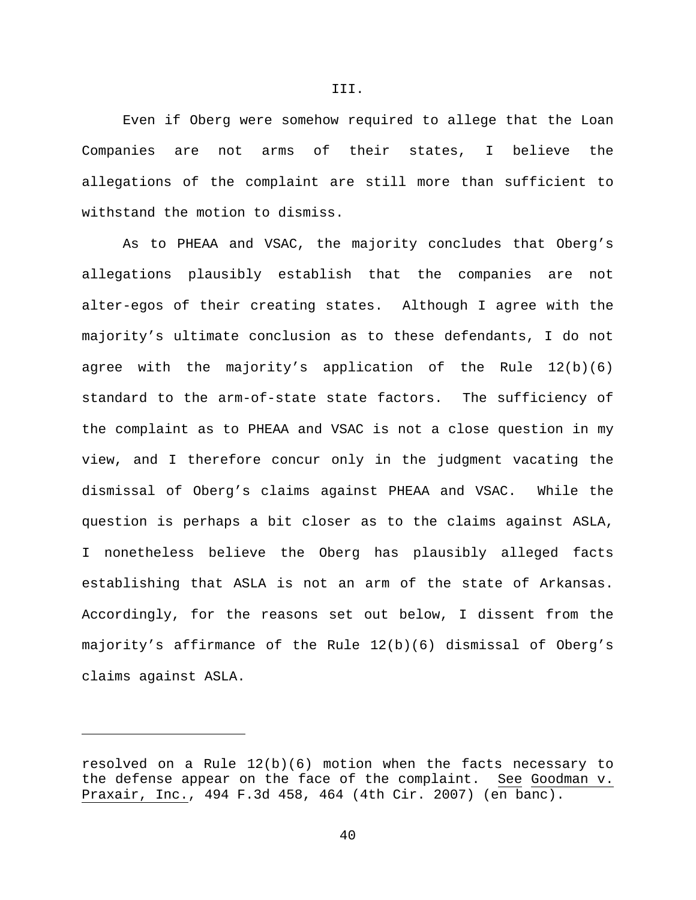Even if Oberg were somehow required to allege that the Loan Companies are not arms of their states, I believe the allegations of the complaint are still more than sufficient to withstand the motion to dismiss.

As to PHEAA and VSAC, the majority concludes that Oberg's allegations plausibly establish that the companies are not alter-egos of their creating states. Although I agree with the majority's ultimate conclusion as to these defendants, I do not agree with the majority's application of the Rule  $12(b)(6)$ standard to the arm-of-state state factors. The sufficiency of the complaint as to PHEAA and VSAC is not a close question in my view, and I therefore concur only in the judgment vacating the dismissal of Oberg's claims against PHEAA and VSAC. While the question is perhaps a bit closer as to the claims against ASLA, I nonetheless believe the Oberg has plausibly alleged facts establishing that ASLA is not an arm of the state of Arkansas. Accordingly, for the reasons set out below, I dissent from the majority's affirmance of the Rule 12(b)(6) dismissal of Oberg's claims against ASLA.

Ĩ.

III.

resolved on a Rule 12(b)(6) motion when the facts necessary to<br>the defense appear on the face of the complaint. See Goodman v. the defense appear on the face of the complaint. Praxair, Inc., 494 F.3d 458, 464 (4th Cir. 2007) (en banc).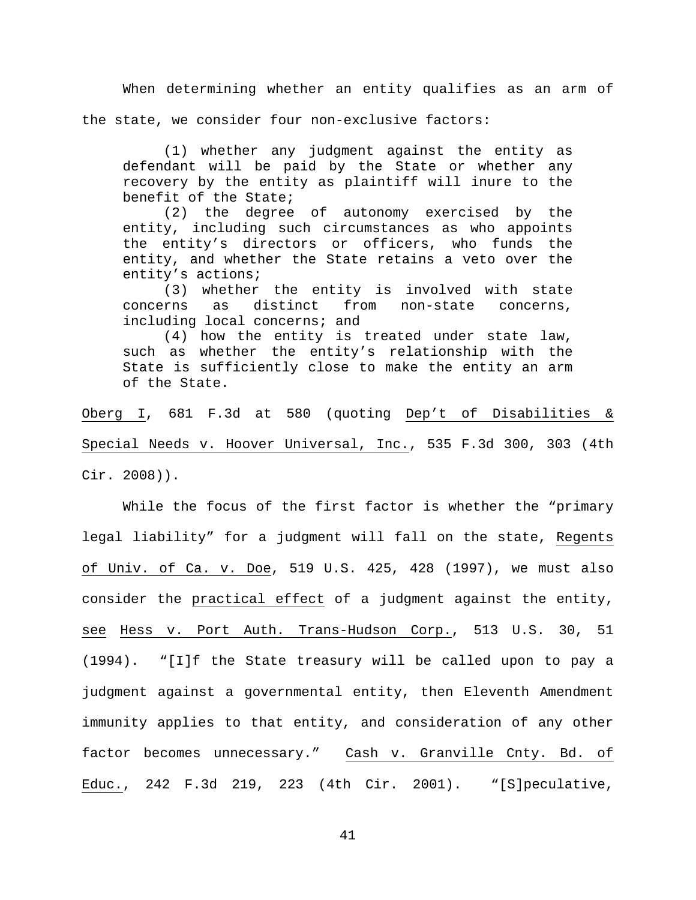When determining whether an entity qualifies as an arm of the state, we consider four non-exclusive factors:

(1) whether any judgment against the entity as defendant will be paid by the State or whether any recovery by the entity as plaintiff will inure to the benefit of the State;

(2) the degree of autonomy exercised by the entity, including such circumstances as who appoints the entity's directors or officers, who funds the entity, and whether the State retains a veto over the entity's actions;

(3) whether the entity is involved with state<br>rns as distinct from non-state concerns, concerns as distinct from non-state concerns, including local concerns; and

(4) how the entity is treated under state law, such as whether the entity's relationship with the State is sufficiently close to make the entity an arm of the State.

Oberg I, 681 F.3d at 580 (quoting Dep't of Disabilities & Special Needs v. Hoover Universal, Inc., 535 F.3d 300, 303 (4th Cir. 2008)).

While the focus of the first factor is whether the "primary legal liability" for a judgment will fall on the state, Regents of Univ. of Ca. v. Doe, 519 U.S. 425, 428 (1997), we must also consider the practical effect of a judgment against the entity, see Hess v. Port Auth. Trans-Hudson Corp., 513 U.S. 30, 51 (1994). "[I]f the State treasury will be called upon to pay a judgment against a governmental entity, then Eleventh Amendment immunity applies to that entity, and consideration of any other factor becomes unnecessary." Cash v. Granville Cnty. Bd. of Educ., 242 F.3d 219, 223 (4th Cir. 2001). "[S]peculative,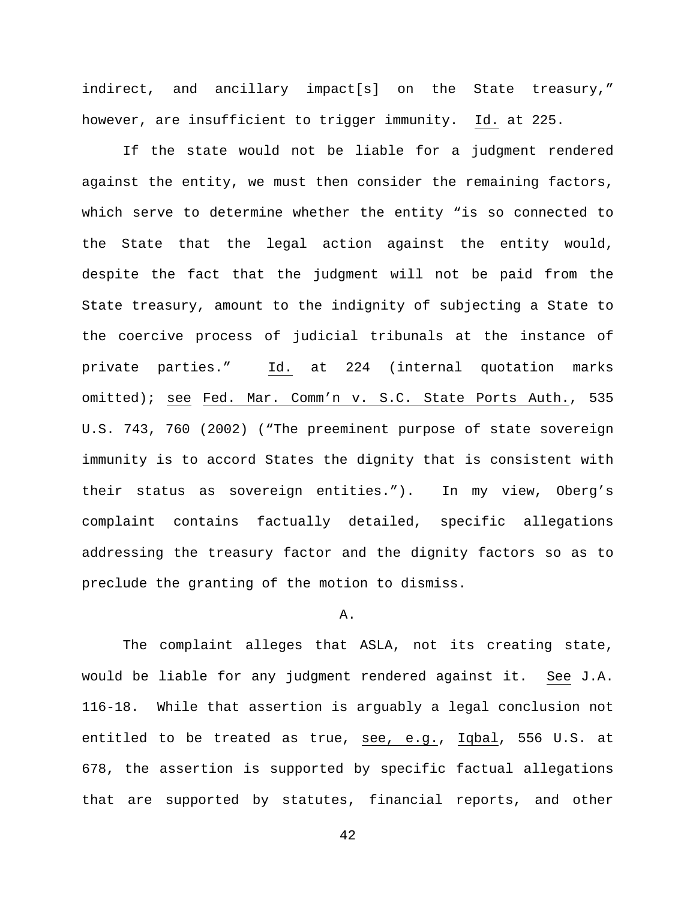indirect, and ancillary impact[s] on the State treasury," however, are insufficient to trigger immunity. Id. at 225.

If the state would not be liable for a judgment rendered against the entity, we must then consider the remaining factors, which serve to determine whether the entity "is so connected to the State that the legal action against the entity would, despite the fact that the judgment will not be paid from the State treasury, amount to the indignity of subjecting a State to the coercive process of judicial tribunals at the instance of private parties." Id. at 224 (internal quotation marks omitted); see Fed. Mar. Comm'n v. S.C. State Ports Auth., 535 U.S. 743, 760 (2002) ("The preeminent purpose of state sovereign immunity is to accord States the dignity that is consistent with their status as sovereign entities."). In my view, Oberg's complaint contains factually detailed, specific allegations addressing the treasury factor and the dignity factors so as to preclude the granting of the motion to dismiss.

### A.

The complaint alleges that ASLA, not its creating state, would be liable for any judgment rendered against it. See J.A. 116-18. While that assertion is arguably a legal conclusion not entitled to be treated as true, see, e.g., Iqbal, 556 U.S. at 678, the assertion is supported by specific factual allegations that are supported by statutes, financial reports, and other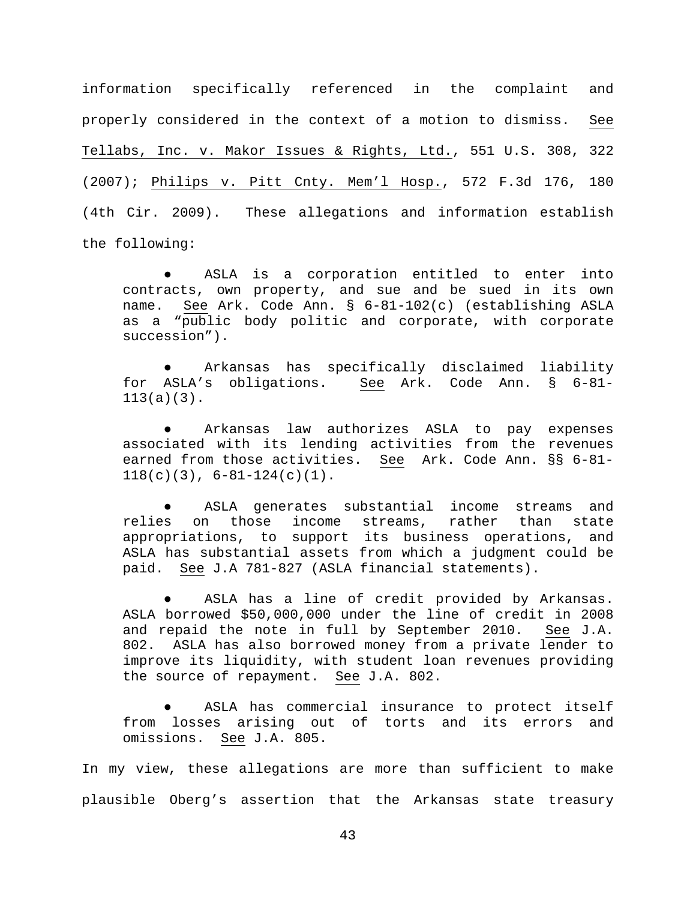information specifically referenced in the complaint and properly considered in the context of a motion to dismiss. See Tellabs, Inc. v. Makor Issues & Rights, Ltd., 551 U.S. 308, 322 (2007); Philips v. Pitt Cnty. Mem'l Hosp., 572 F.3d 176, 180 (4th Cir. 2009). These allegations and information establish the following:

ASLA is a corporation entitled to enter into contracts, own property, and sue and be sued in its own name. See Ark. Code Ann. § 6-81-102(c) (establishing ASLA as a "public body politic and corporate, with corporate succession").

Arkansas has specifically disclaimed liability for ASLA's obligations. See Ark. Code Ann. § 6-81- 113(a)(3).

Arkansas law authorizes ASLA to pay expenses associated with its lending activities from the revenues earned from those activities. See Ark. Code Ann. §§ 6-81-  $118(c)(3)$ ,  $6-81-124(c)(1)$ .

ASLA generates substantial income streams and<br>n those income streams, rather than state relies on those income streams, rather than state appropriations, to support its business operations, and ASLA has substantial assets from which a judgment could be paid. See J.A 781-827 (ASLA financial statements).

ASLA has a line of credit provided by Arkansas. ASLA borrowed \$50,000,000 under the line of credit in 2008<br>and repaid the note in full by September 2010. See J.A. and repaid the note in full by September 2010. 802. ASLA has also borrowed money from a private lender to improve its liquidity, with student loan revenues providing the source of repayment. See J.A. 802.

ASLA has commercial insurance to protect itself from losses arising out of torts and its errors and omissions. See J.A. 805.

In my view, these allegations are more than sufficient to make plausible Oberg's assertion that the Arkansas state treasury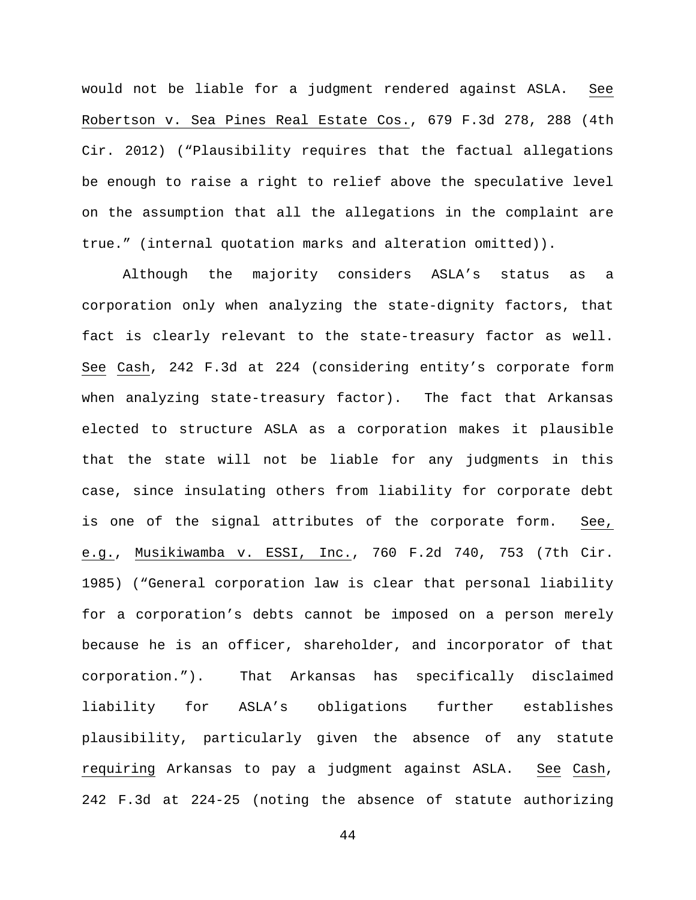would not be liable for a judgment rendered against ASLA. See Robertson v. Sea Pines Real Estate Cos., 679 F.3d 278, 288 (4th Cir. 2012) ("Plausibility requires that the factual allegations be enough to raise a right to relief above the speculative level on the assumption that all the allegations in the complaint are true." (internal quotation marks and alteration omitted)).

Although the majority considers ASLA's status as a corporation only when analyzing the state-dignity factors, that fact is clearly relevant to the state-treasury factor as well. See Cash, 242 F.3d at 224 (considering entity's corporate form when analyzing state-treasury factor). The fact that Arkansas elected to structure ASLA as a corporation makes it plausible that the state will not be liable for any judgments in this case, since insulating others from liability for corporate debt is one of the signal attributes of the corporate form. See, e.g., Musikiwamba v. ESSI, Inc., 760 F.2d 740, 753 (7th Cir. 1985) ("General corporation law is clear that personal liability for a corporation's debts cannot be imposed on a person merely because he is an officer, shareholder, and incorporator of that corporation."). That Arkansas has specifically disclaimed liability for ASLA's obligations further establishes plausibility, particularly given the absence of any statute requiring Arkansas to pay a judgment against ASLA. See Cash, 242 F.3d at 224-25 (noting the absence of statute authorizing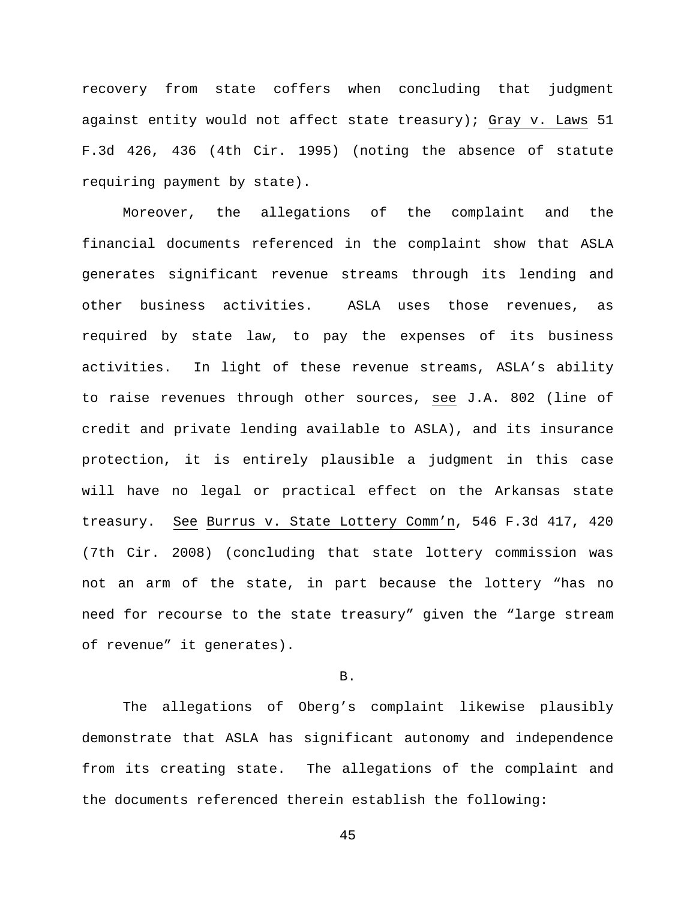recovery from state coffers when concluding that judgment against entity would not affect state treasury); Gray v. Laws 51 F.3d 426, 436 (4th Cir. 1995) (noting the absence of statute requiring payment by state).

Moreover, the allegations of the complaint and the financial documents referenced in the complaint show that ASLA generates significant revenue streams through its lending and other business activities. ASLA uses those revenues, as required by state law, to pay the expenses of its business activities. In light of these revenue streams, ASLA's ability to raise revenues through other sources, see J.A. 802 (line of credit and private lending available to ASLA), and its insurance protection, it is entirely plausible a judgment in this case will have no legal or practical effect on the Arkansas state treasury. See Burrus v. State Lottery Comm'n, 546 F.3d 417, 420 (7th Cir. 2008) (concluding that state lottery commission was not an arm of the state, in part because the lottery "has no need for recourse to the state treasury" given the "large stream of revenue" it generates).

### B.

The allegations of Oberg's complaint likewise plausibly demonstrate that ASLA has significant autonomy and independence from its creating state. The allegations of the complaint and the documents referenced therein establish the following: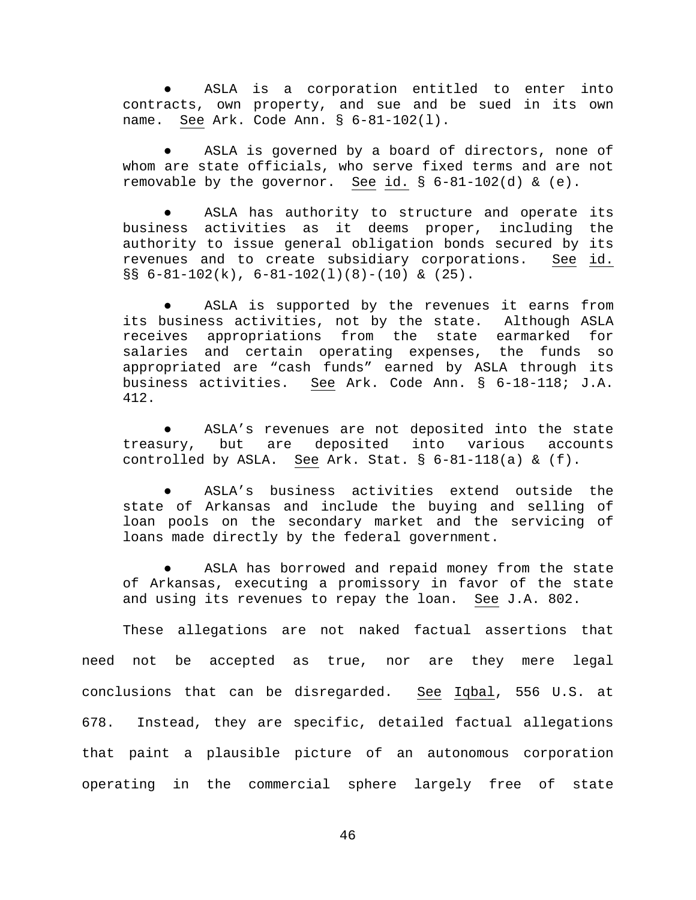ASLA is a corporation entitled to enter into contracts, own property, and sue and be sued in its own name. See Ark. Code Ann. § 6-81-102(l).

ASLA is governed by a board of directors, none of whom are state officials, who serve fixed terms and are not removable by the governor. See id.  $\S$  6-81-102(d) & (e).

ASLA has authority to structure and operate its business activities as it deems proper, including the authority to issue general obligation bonds secured by its revenues and to create subsidiary corporations. See id.  $\S$ § 6-81-102(k), 6-81-102(1)(8)-(10) & (25).

ASLA is supported by the revenues it earns from its business activities, not by the state. Although ASLA receives appropriations from the state earmarked for salaries and certain operating expenses, the funds so appropriated are "cash funds" earned by ASLA through its business activities. See Ark. Code Ann. § 6-18-118; J.A. 412.

ASLA's revenues are not deposited into the state treasury, but are deposited into various accounts controlled by ASLA. See Ark. Stat.  $\S$  6-81-118(a) & (f).

ASLA's business activities extend outside the state of Arkansas and include the buying and selling of loan pools on the secondary market and the servicing of loans made directly by the federal government.

ASLA has borrowed and repaid money from the state of Arkansas, executing a promissory in favor of the state and using its revenues to repay the loan. See J.A. 802.

These allegations are not naked factual assertions that need not be accepted as true, nor are they mere legal conclusions that can be disregarded. See Iqbal, 556 U.S. at 678. Instead, they are specific, detailed factual allegations that paint a plausible picture of an autonomous corporation operating in the commercial sphere largely free of state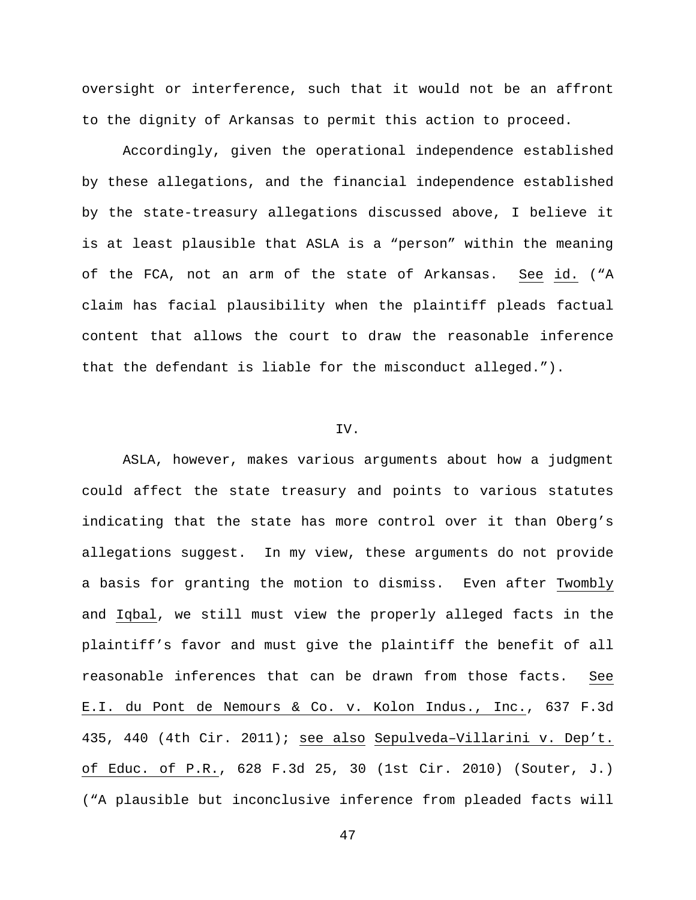oversight or interference, such that it would not be an affront to the dignity of Arkansas to permit this action to proceed.

Accordingly, given the operational independence established by these allegations, and the financial independence established by the state-treasury allegations discussed above, I believe it is at least plausible that ASLA is a "person" within the meaning of the FCA, not an arm of the state of Arkansas. See id. ("A claim has facial plausibility when the plaintiff pleads factual content that allows the court to draw the reasonable inference that the defendant is liable for the misconduct alleged.").

### IV.

ASLA, however, makes various arguments about how a judgment could affect the state treasury and points to various statutes indicating that the state has more control over it than Oberg's allegations suggest. In my view, these arguments do not provide a basis for granting the motion to dismiss. Even after Twombly and Iqbal, we still must view the properly alleged facts in the plaintiff's favor and must give the plaintiff the benefit of all reasonable inferences that can be drawn from those facts. See E.I. du Pont de Nemours & Co. v. Kolon Indus., Inc., 637 F.3d 435, 440 (4th Cir. 2011); see also Sepulveda–Villarini v. Dep't. of Educ. of P.R., 628 F.3d 25, 30 (1st Cir. 2010) (Souter, J.) ("A plausible but inconclusive inference from pleaded facts will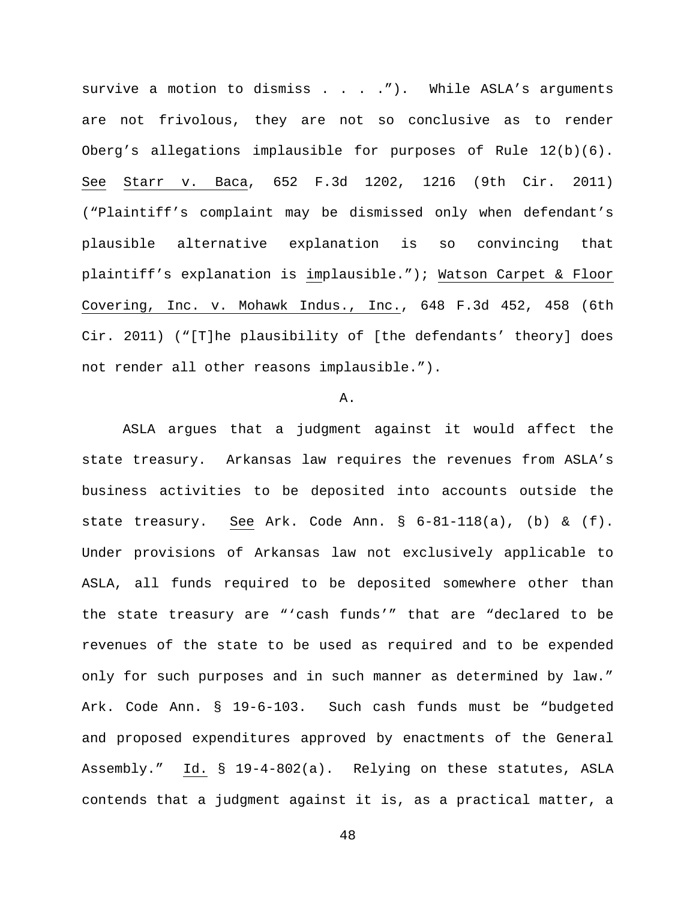survive a motion to dismiss  $\ldots$  . . . . . While ASLA's arguments are not frivolous, they are not so conclusive as to render Oberg's allegations implausible for purposes of Rule 12(b)(6). See Starr v. Baca, 652 F.3d 1202, 1216 (9th Cir. 2011) ("Plaintiff's complaint may be dismissed only when defendant's plausible alternative explanation is so convincing that plaintiff's explanation is implausible."); Watson Carpet & Floor Covering, Inc. v. Mohawk Indus., Inc., 648 F.3d 452, 458 (6th Cir. 2011) ("[T]he plausibility of [the defendants' theory] does not render all other reasons implausible.").

### A.

ASLA argues that a judgment against it would affect the state treasury. Arkansas law requires the revenues from ASLA's business activities to be deposited into accounts outside the state treasury. See Ark. Code Ann.  $\S$  6-81-118(a), (b) & (f). Under provisions of Arkansas law not exclusively applicable to ASLA, all funds required to be deposited somewhere other than the state treasury are "'cash funds'" that are "declared to be revenues of the state to be used as required and to be expended only for such purposes and in such manner as determined by law." Ark. Code Ann. § 19-6-103. Such cash funds must be "budgeted and proposed expenditures approved by enactments of the General Assembly." Id. § 19-4-802(a). Relying on these statutes, ASLA contends that a judgment against it is, as a practical matter, a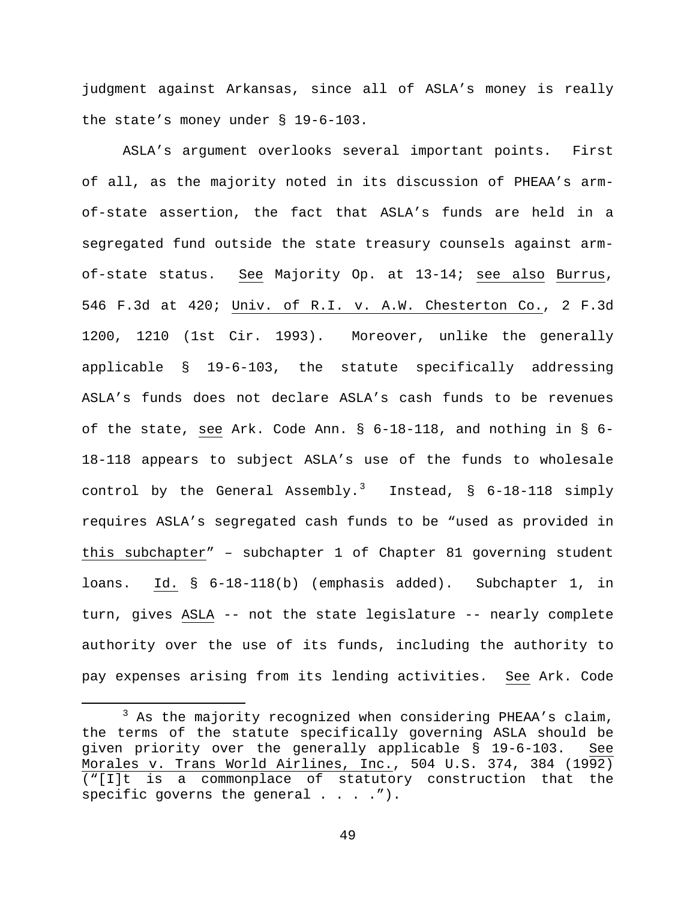judgment against Arkansas, since all of ASLA's money is really the state's money under § 19-6-103.

ASLA's argument overlooks several important points. First of all, as the majority noted in its discussion of PHEAA's armof-state assertion, the fact that ASLA's funds are held in a segregated fund outside the state treasury counsels against armof-state status. See Majority Op. at 13-14; see also Burrus, 546 F.3d at 420; Univ. of R.I. v. A.W. Chesterton Co., 2 F.3d 1200, 1210 (1st Cir. 1993). Moreover, unlike the generally applicable § 19-6-103, the statute specifically addressing ASLA's funds does not declare ASLA's cash funds to be revenues of the state, see Ark. Code Ann. § 6-18-118, and nothing in § 6- 18-118 appears to subject ASLA's use of the funds to wholesale control by the General Assembly.<sup>[3](#page-48-0)</sup> Instead, §  $6-18-118$  simply requires ASLA's segregated cash funds to be "used as provided in this subchapter" – subchapter 1 of Chapter 81 governing student loans. Id. § 6-18-118(b) (emphasis added). Subchapter 1, in turn, gives ASLA -- not the state legislature -- nearly complete authority over the use of its funds, including the authority to pay expenses arising from its lending activities. See Ark. Code

<span id="page-48-0"></span> $3$  As the majority recognized when considering PHEAA's claim, the terms of the statute specifically governing ASLA should be given priority over the generally applicable § 19-6-103. See Morales v. Trans World Airlines, Inc., 504 U.S. 374, 384 (1992) ("[I]t is a commonplace of statutory construction that the specific governs the general  $\ldots$ .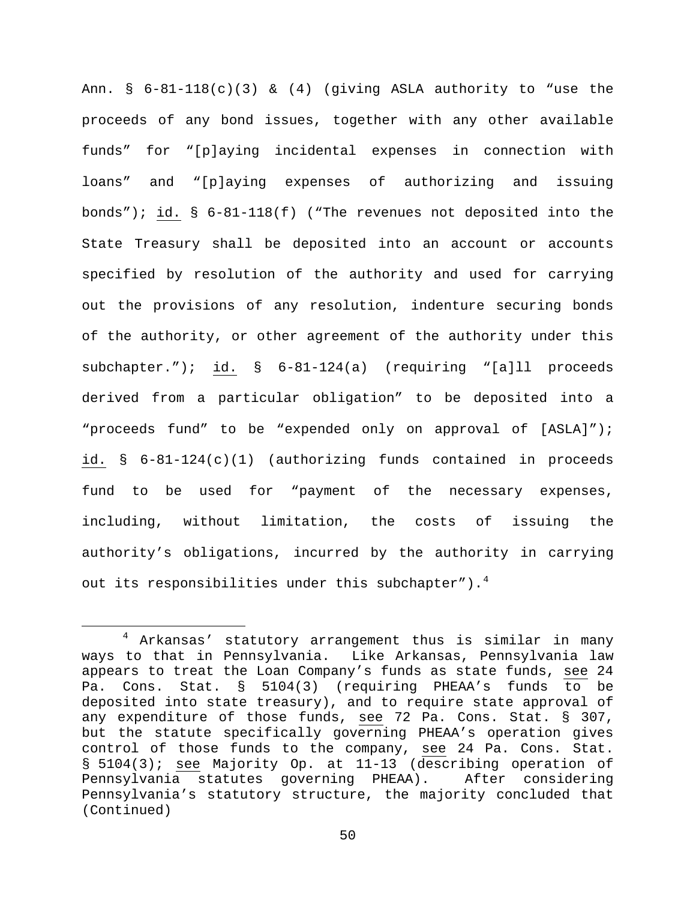Ann. § 6-81-118(c)(3) & (4) (giving ASLA authority to "use the proceeds of any bond issues, together with any other available funds" for "[p]aying incidental expenses in connection with loans" and "[p]aying expenses of authorizing and issuing bonds"); id. § 6-81-118(f) ("The revenues not deposited into the State Treasury shall be deposited into an account or accounts specified by resolution of the authority and used for carrying out the provisions of any resolution, indenture securing bonds of the authority, or other agreement of the authority under this subchapter."); id. § 6-81-124(a) (requiring "[a]ll proceeds derived from a particular obligation" to be deposited into a "proceeds fund" to be "expended only on approval of [ASLA]"); id. § 6-81-124(c)(1) (authorizing funds contained in proceeds fund to be used for "payment of the necessary expenses, including, without limitation, the costs of issuing the authority's obligations, incurred by the authority in carrying out its responsibilities under this subchapter"). $4$ 

<span id="page-49-0"></span> <sup>4</sup> Arkansas' statutory arrangement thus is similar in many ways to that in Pennsylvania. Like Arkansas, Pennsylvania law appears to treat the Loan Company's funds as state funds, see 24 Pa. Cons. Stat. § 5104(3) (requiring PHEAA's funds to be deposited into state treasury), and to require state approval of any expenditure of those funds, see 72 Pa. Cons. Stat. § 307, but the statute specifically governing PHEAA's operation gives control of those funds to the company, see 24 Pa. Cons. Stat. § 5104(3); see Majority Op. at 11-13 (describing operation of<br>Pennsylvania statutes governing PHEAA). After considering Pennsylvania statutes governing PHEAA). Pennsylvania's statutory structure, the majority concluded that (Continued)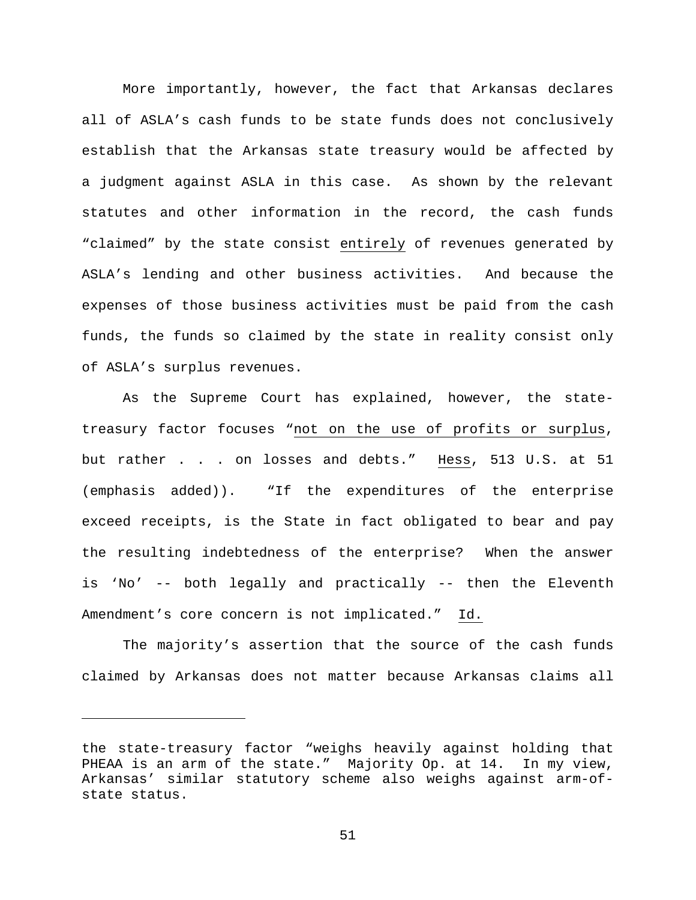More importantly, however, the fact that Arkansas declares all of ASLA's cash funds to be state funds does not conclusively establish that the Arkansas state treasury would be affected by a judgment against ASLA in this case. As shown by the relevant statutes and other information in the record, the cash funds "claimed" by the state consist entirely of revenues generated by ASLA's lending and other business activities. And because the expenses of those business activities must be paid from the cash funds, the funds so claimed by the state in reality consist only of ASLA's surplus revenues.

As the Supreme Court has explained, however, the statetreasury factor focuses "not on the use of profits or surplus, but rather . . . on losses and debts." Hess, 513 U.S. at 51 (emphasis added)). "If the expenditures of the enterprise exceed receipts, is the State in fact obligated to bear and pay the resulting indebtedness of the enterprise? When the answer is 'No' -- both legally and practically -- then the Eleventh Amendment's core concern is not implicated." Id.

The majority's assertion that the source of the cash funds claimed by Arkansas does not matter because Arkansas claims all

Ĩ.

the state-treasury factor "weighs heavily against holding that PHEAA is an arm of the state." Majority Op. at 14. In my view, Arkansas' similar statutory scheme also weighs against arm-ofstate status.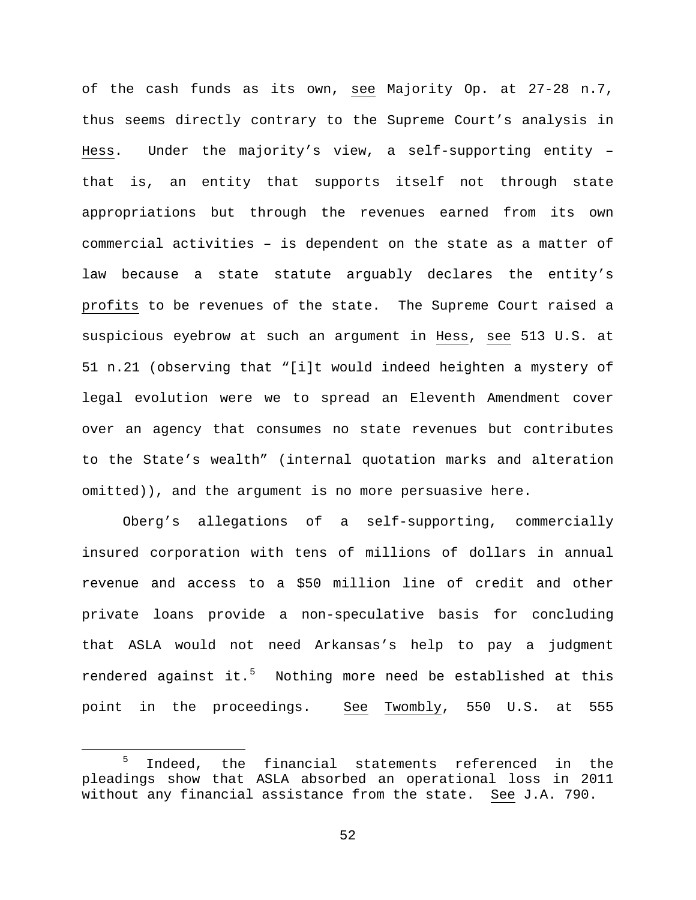of the cash funds as its own, see Majority Op. at 27-28 n.7, thus seems directly contrary to the Supreme Court's analysis in Hess. Under the majority's view, a self-supporting entity – that is, an entity that supports itself not through state appropriations but through the revenues earned from its own commercial activities – is dependent on the state as a matter of law because a state statute arguably declares the entity's profits to be revenues of the state. The Supreme Court raised a suspicious eyebrow at such an argument in Hess, see 513 U.S. at 51 n.21 (observing that "[i]t would indeed heighten a mystery of legal evolution were we to spread an Eleventh Amendment cover over an agency that consumes no state revenues but contributes to the State's wealth" (internal quotation marks and alteration omitted)), and the argument is no more persuasive here.

Oberg's allegations of a self-supporting, commercially insured corporation with tens of millions of dollars in annual revenue and access to a \$50 million line of credit and other private loans provide a non-speculative basis for concluding that ASLA would not need Arkansas's help to pay a judgment rendered against it.<sup>[5](#page-51-0)</sup> Nothing more need be established at this point in the proceedings. See Twombly, 550 U.S. at 555

<span id="page-51-0"></span><sup>&</sup>lt;sup>5</sup> Indeed, the financial statements referenced in the pleadings show that ASLA absorbed an operational loss in 2011 without any financial assistance from the state. See J.A. 790.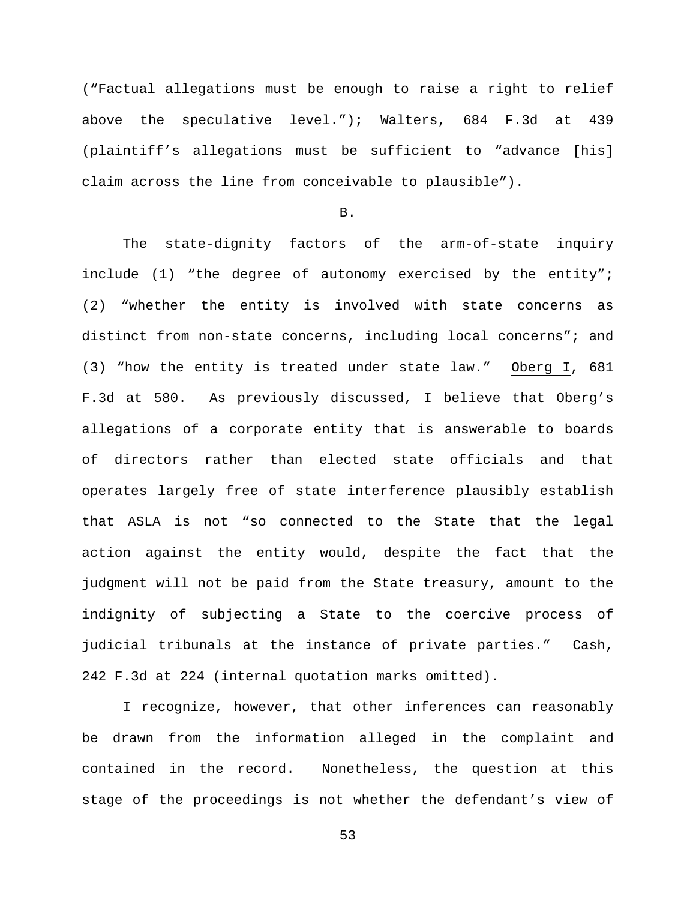("Factual allegations must be enough to raise a right to relief above the speculative level."); Walters, 684 F.3d at 439 (plaintiff's allegations must be sufficient to "advance [his] claim across the line from conceivable to plausible").

# B.

The state-dignity factors of the arm-of-state inquiry include (1) "the degree of autonomy exercised by the entity"; (2) "whether the entity is involved with state concerns as distinct from non-state concerns, including local concerns"; and (3) "how the entity is treated under state law." Oberg I, 681 F.3d at 580. As previously discussed, I believe that Oberg's allegations of a corporate entity that is answerable to boards of directors rather than elected state officials and that operates largely free of state interference plausibly establish that ASLA is not "so connected to the State that the legal action against the entity would, despite the fact that the judgment will not be paid from the State treasury, amount to the indignity of subjecting a State to the coercive process of judicial tribunals at the instance of private parties." Cash, 242 F.3d at 224 (internal quotation marks omitted).

I recognize, however, that other inferences can reasonably be drawn from the information alleged in the complaint and contained in the record. Nonetheless, the question at this stage of the proceedings is not whether the defendant's view of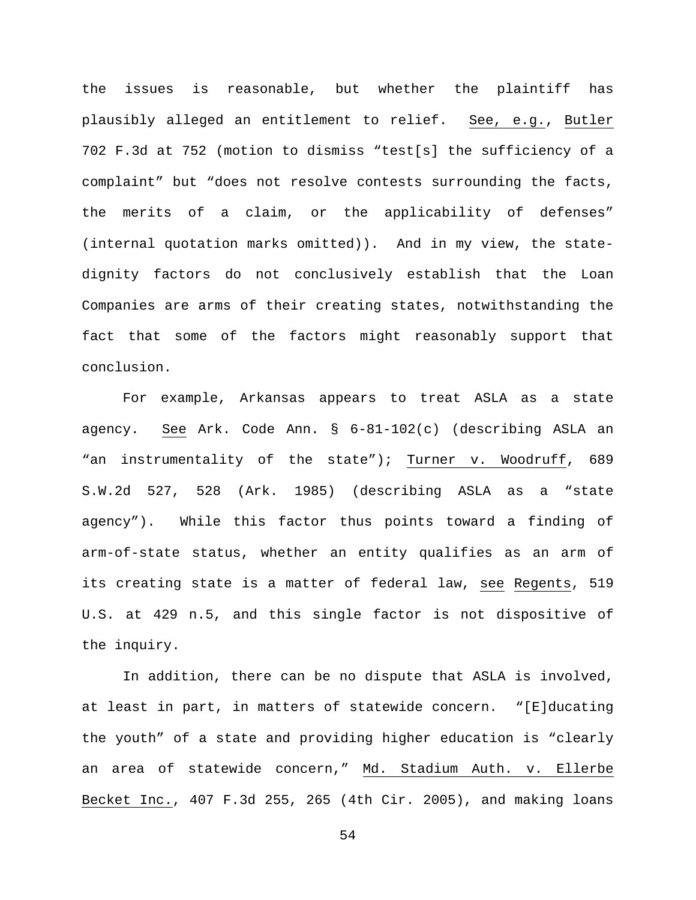the issues is reasonable, but whether the plaintiff has plausibly alleged an entitlement to relief. See, e.g., Butler 702 F.3d at 752 (motion to dismiss "test[s] the sufficiency of a complaint" but "does not resolve contests surrounding the facts, the merits of a claim, or the applicability of defenses" (internal quotation marks omitted)). And in my view, the statedignity factors do not conclusively establish that the Loan Companies are arms of their creating states, notwithstanding the fact that some of the factors might reasonably support that conclusion.

For example, Arkansas appears to treat ASLA as a state agency. See Ark. Code Ann. § 6-81-102(c) (describing ASLA an "an instrumentality of the state"); Turner v. Woodruff, 689 S.W.2d 527, 528 (Ark. 1985) (describing ASLA as a "state agency"). While this factor thus points toward a finding of arm-of-state status, whether an entity qualifies as an arm of its creating state is a matter of federal law, see Regents, 519 U.S. at 429 n.5, and this single factor is not dispositive of the inquiry.

In addition, there can be no dispute that ASLA is involved, at least in part, in matters of statewide concern. "[E]ducating the youth" of a state and providing higher education is "clearly an area of statewide concern," Md. Stadium Auth. v. Ellerbe Becket Inc., 407 F.3d 255, 265 (4th Cir. 2005), and making loans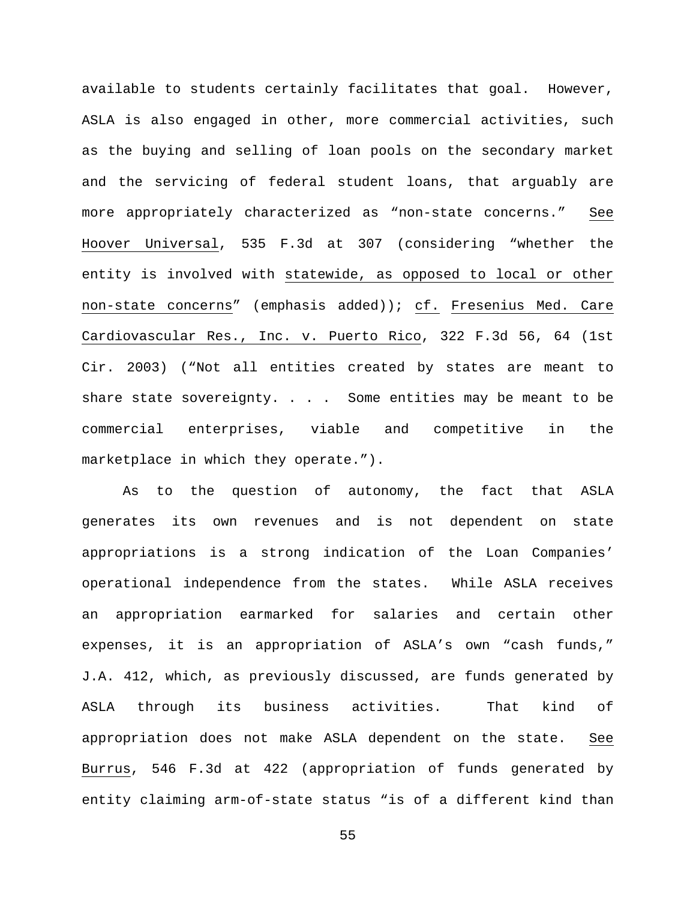available to students certainly facilitates that goal. However, ASLA is also engaged in other, more commercial activities, such as the buying and selling of loan pools on the secondary market and the servicing of federal student loans, that arguably are more appropriately characterized as "non-state concerns." See Hoover Universal, 535 F.3d at 307 (considering "whether the entity is involved with statewide, as opposed to local or other non-state concerns" (emphasis added)); cf. Fresenius Med. Care Cardiovascular Res., Inc. v. Puerto Rico, 322 F.3d 56, 64 (1st Cir. 2003) ("Not all entities created by states are meant to share state sovereignty. . . . Some entities may be meant to be commercial enterprises, viable and competitive in the marketplace in which they operate.").

As to the question of autonomy, the fact that ASLA generates its own revenues and is not dependent on state appropriations is a strong indication of the Loan Companies' operational independence from the states. While ASLA receives an appropriation earmarked for salaries and certain other expenses, it is an appropriation of ASLA's own "cash funds," J.A. 412, which, as previously discussed, are funds generated by ASLA through its business activities. That kind of appropriation does not make ASLA dependent on the state. See Burrus, 546 F.3d at 422 (appropriation of funds generated by entity claiming arm-of-state status "is of a different kind than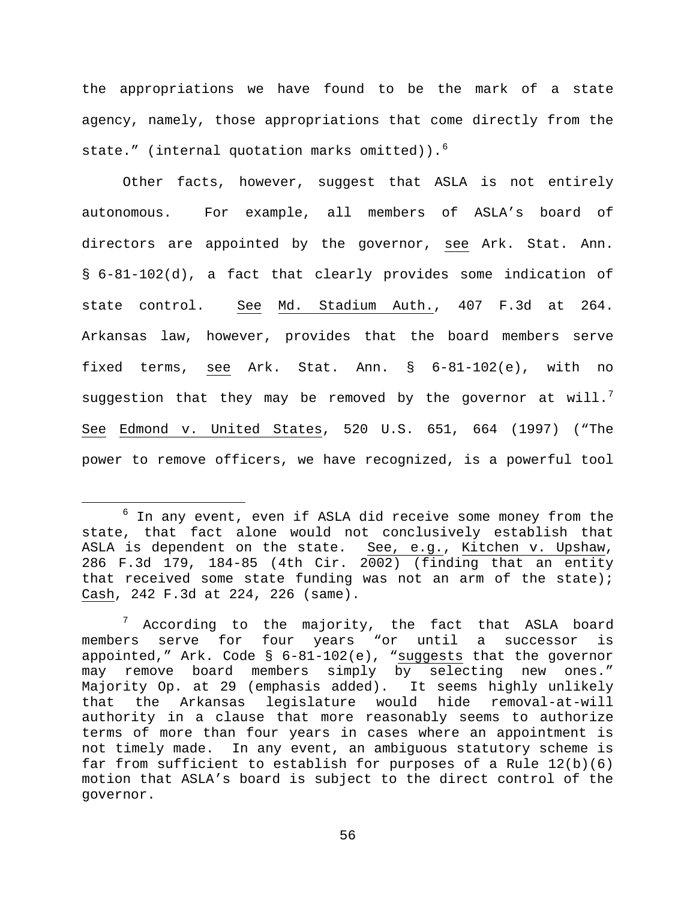the appropriations we have found to be the mark of a state agency, namely, those appropriations that come directly from the state." (internal quotation marks omitted)). $^{6}$  $^{6}$  $^{6}$ 

Other facts, however, suggest that ASLA is not entirely autonomous. For example, all members of ASLA's board of directors are appointed by the governor, see Ark. Stat. Ann. § 6-81-102(d), a fact that clearly provides some indication of state control. See Md. Stadium Auth., 407 F.3d at 264. Arkansas law, however, provides that the board members serve fixed terms, see Ark. Stat. Ann. § 6-81-102(e), with no suggestion that they may be removed by the governor at will. $^7$  $^7$ See Edmond v. United States, 520 U.S. 651, 664 (1997) ("The power to remove officers, we have recognized, is a powerful tool

<span id="page-55-0"></span> $6$  In any event, even if ASLA did receive some money from the state, that fact alone would not conclusively establish that ASLA is dependent on the state. See, e.g., Kitchen v. Upshaw, 286 F.3d 179, 184-85 (4th Cir. 2002) (finding that an entity that received some state funding was not an arm of the state); Cash, 242 F.3d at 224, 226 (same).

<span id="page-55-1"></span> $7$  According to the majority, the fact that ASLA board members serve for four years "or until a successor is appointed," Ark. Code § 6-81-102(e), "suggests that the governor may remove board members simply by selecting new ones." Majority Op. at 29 (emphasis added). It seems highly unlikely that the Arkansas legislature would hide removal-at-will authority in a clause that more reasonably seems to authorize terms of more than four years in cases where an appointment is not timely made. In any event, an ambiguous statutory scheme is far from sufficient to establish for purposes of a Rule  $12(b)(6)$ motion that ASLA's board is subject to the direct control of the governor.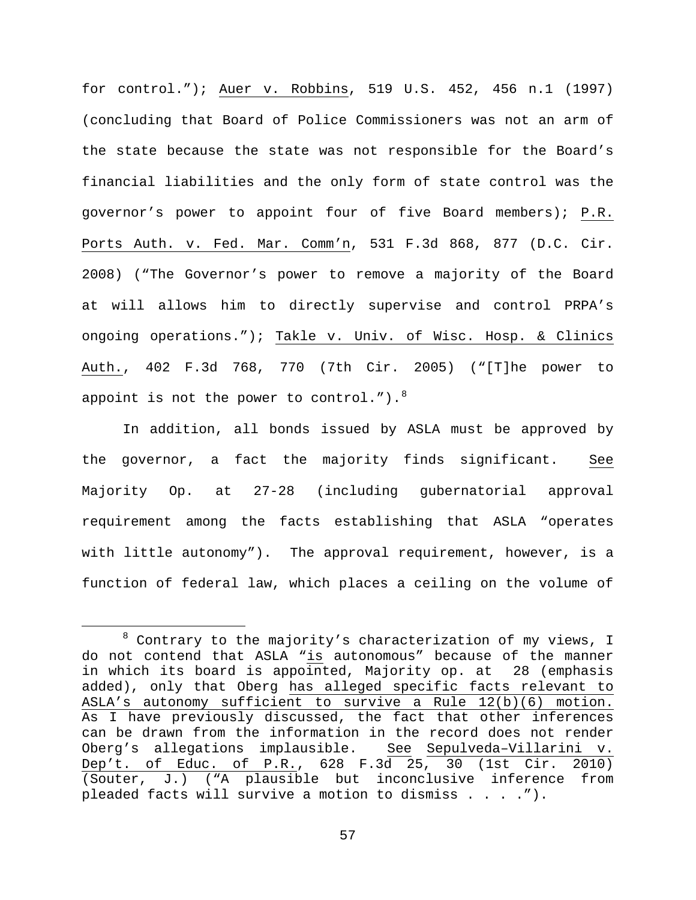for control."); Auer v. Robbins, 519 U.S. 452, 456 n.1 (1997) (concluding that Board of Police Commissioners was not an arm of the state because the state was not responsible for the Board's financial liabilities and the only form of state control was the governor's power to appoint four of five Board members); P.R. Ports Auth. v. Fed. Mar. Comm'n, 531 F.3d 868, 877 (D.C. Cir. 2008) ("The Governor's power to remove a majority of the Board at will allows him to directly supervise and control PRPA's ongoing operations."); Takle v. Univ. of Wisc. Hosp. & Clinics Auth., 402 F.3d 768, 770 (7th Cir. 2005) ("[T]he power to appoint is not the power to control."). $8$ 

In addition, all bonds issued by ASLA must be approved by the governor, a fact the majority finds significant. See Majority Op. at 27-28 (including gubernatorial approval requirement among the facts establishing that ASLA "operates with little autonomy"). The approval requirement, however, is a function of federal law, which places a ceiling on the volume of

<span id="page-56-0"></span> $8$  Contrary to the majority's characterization of my views, I do not contend that ASLA "is autonomous" because of the manner in which its board is appointed, Majority op. at 28 (emphasis added), only that Oberg has alleged specific facts relevant to ASLA's autonomy sufficient to survive a Rule 12(b)(6) motion. As I have previously discussed, the fact that other inferences can be drawn from the information in the record does not render<br>Oberg's allegations implausible. See Sepulveda-Villarini v. Oberg's allegations implausible. Dep't. of Educ. of P.R., 628 F.3d 25, 30 (1st Cir. 2010) (Souter, J.) ("A plausible but inconclusive inference from pleaded facts will survive a motion to dismiss . . . .").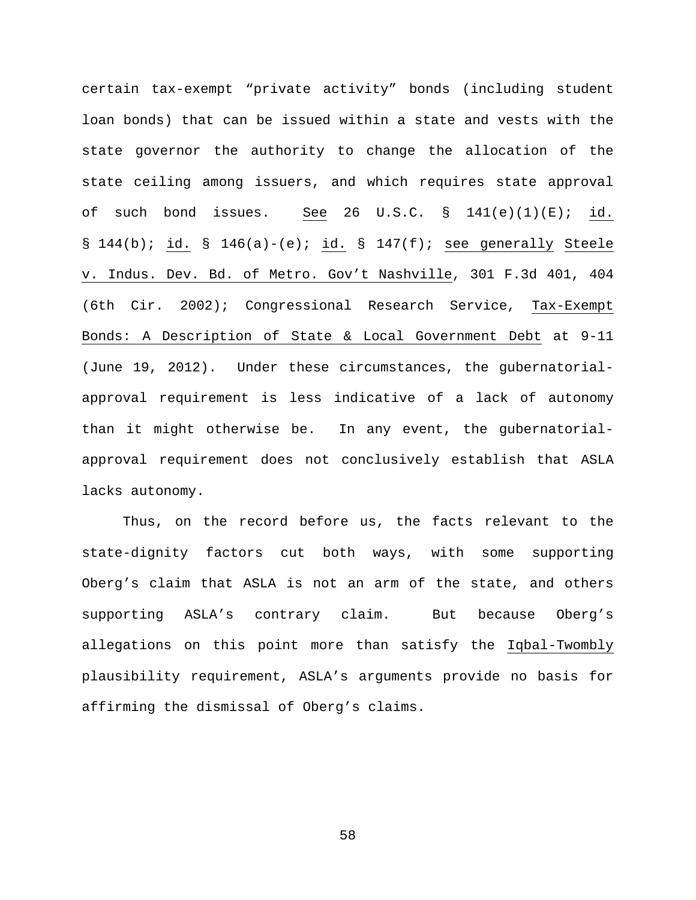certain tax-exempt "private activity" bonds (including student loan bonds) that can be issued within a state and vests with the state governor the authority to change the allocation of the state ceiling among issuers, and which requires state approval of such bond issues. See 26 U.S.C.  $\S$  141(e)(1)(E); id. § 144(b); id. § 146(a)-(e); id. § 147(f); see generally Steele v. Indus. Dev. Bd. of Metro. Gov't Nashville, 301 F.3d 401, 404 (6th Cir. 2002); Congressional Research Service, Tax-Exempt Bonds: A Description of State & Local Government Debt at 9-11 (June 19, 2012). Under these circumstances, the gubernatorialapproval requirement is less indicative of a lack of autonomy than it might otherwise be. In any event, the gubernatorialapproval requirement does not conclusively establish that ASLA lacks autonomy.

Thus, on the record before us, the facts relevant to the state-dignity factors cut both ways, with some supporting Oberg's claim that ASLA is not an arm of the state, and others supporting ASLA's contrary claim. But because Oberg's allegations on this point more than satisfy the Iqbal-Twombly plausibility requirement, ASLA's arguments provide no basis for affirming the dismissal of Oberg's claims.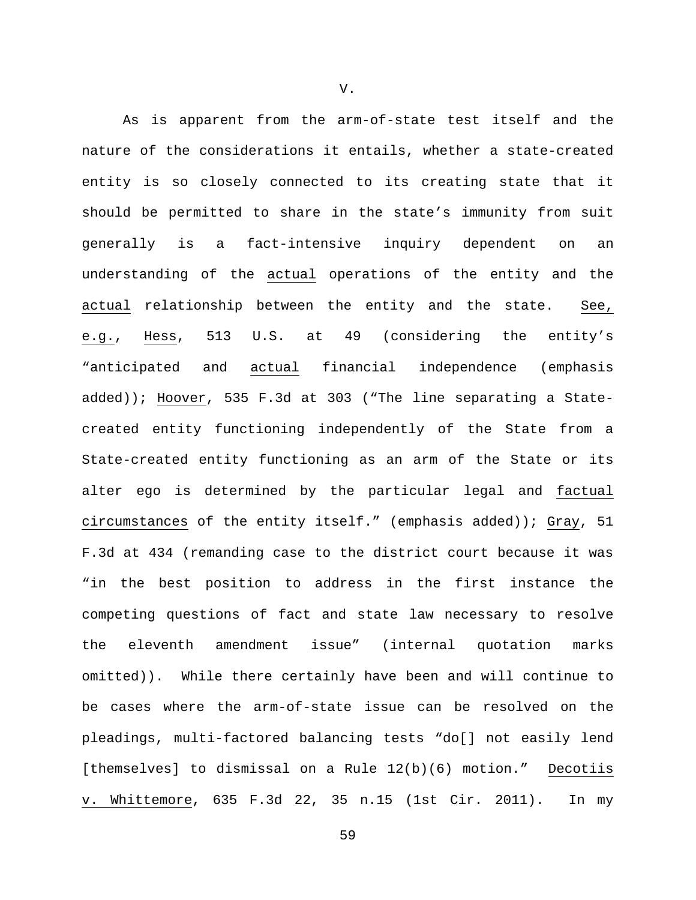As is apparent from the arm-of-state test itself and the nature of the considerations it entails, whether a state-created entity is so closely connected to its creating state that it should be permitted to share in the state's immunity from suit generally is a fact-intensive inquiry dependent on an understanding of the actual operations of the entity and the actual relationship between the entity and the state. See, e.g., Hess, 513 U.S. at 49 (considering the entity's "anticipated and actual financial independence (emphasis added)); Hoover, 535 F.3d at 303 ("The line separating a Statecreated entity functioning independently of the State from a State-created entity functioning as an arm of the State or its alter ego is determined by the particular legal and factual circumstances of the entity itself." (emphasis added)); Gray, 51 F.3d at 434 (remanding case to the district court because it was "in the best position to address in the first instance the competing questions of fact and state law necessary to resolve the eleventh amendment issue" (internal quotation marks omitted)). While there certainly have been and will continue to be cases where the arm-of-state issue can be resolved on the pleadings, multi-factored balancing tests "do[] not easily lend [themselves] to dismissal on a Rule 12(b)(6) motion." Decotiis v. Whittemore, 635 F.3d 22, 35 n.15 (1st Cir. 2011). In my

V.